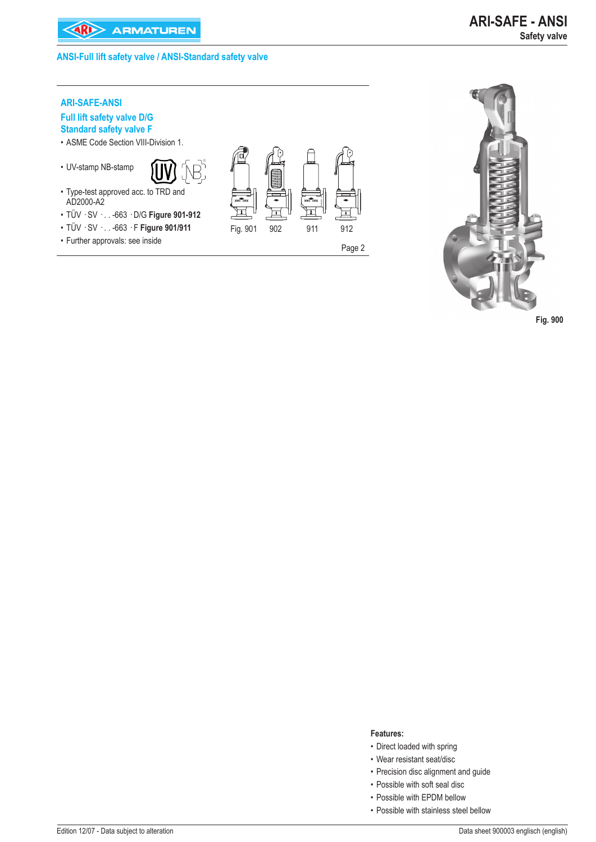# **ANSI-Full lift safety valve / ANSI-Standard safety valve**

# **ARI-SAFE-ANSI**

# **Full lift safety valve D/G Standard safety valve F**

- ASME Code Section VIII-Division 1.
- UV-stamp NB-stamp •



- Type-test approved acc. to TRD and AD2000-A2
- TÜV · SV · . . -663 · D/G **Figure 901-912** •
- TÜV · SV · . . -663 · F **Figure 901/911** •
- Further approvals: see inside Page 2





**Fig. 900** 

- **Features:**
- Direct loaded with spring
- Wear resistant seat/disc •
- Precision disc alignment and guide
- Possible with soft seal disc
- Possible with EPDM bellow
- Possible with stainless steel bellow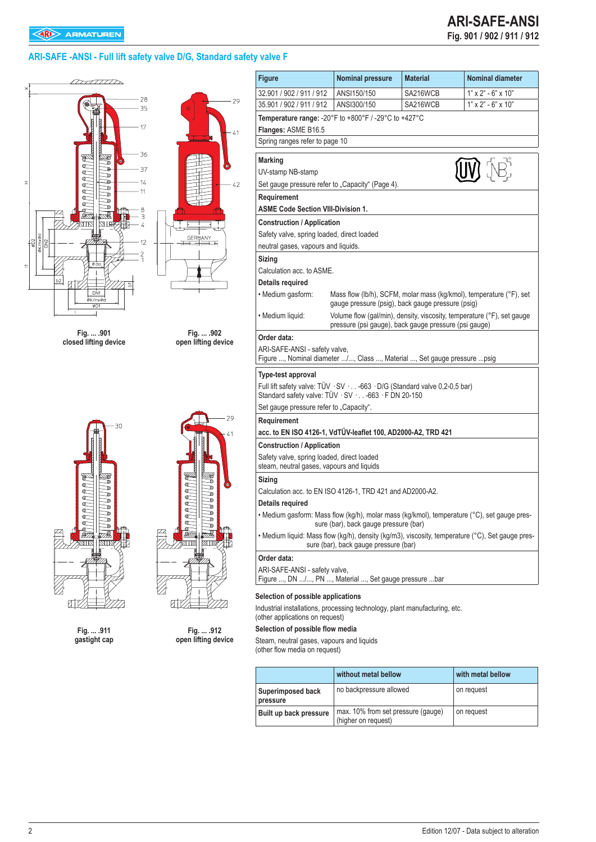# **ARI-SAFE -ANSI - Full lift safety valve D/G, Standard safety valve F**





**Fig. ... .911 gastight cap**

|                 |        | 29        |
|-----------------|--------|-----------|
| Ó               |        | 41        |
| i<br>S          |        | $\bullet$ |
| 0000000000<br>f | 999999 |           |
|                 | €      |           |
|                 |        |           |
|                 |        |           |

**Fig. ... .912 open lifting device**

| 32.901 / 902 / 911 / 912<br>SA216WCB<br>ANSI150/150<br>35.901 / 902 / 911 / 912<br>SA216WCB<br>ANSI300/150<br>Temperature range: -20°F to +800°F / -29°C to +427°C<br>Flanges: ASME B16.5<br>Spring ranges refer to page 10<br><b>Marking</b><br>UV-stamp NB-stamp<br>Set gauge pressure refer to "Capacity" (Page 4).<br>Requirement<br><b>ASME Code Section VIII-Division 1.</b><br><b>Construction / Application</b><br>Safety valve, spring loaded, direct loaded<br>neutral gases, vapours and liquids.<br>Sizing<br>Calculation acc. to ASME.<br>Details required<br>· Medium gasform:<br>Mass flow (lb/h), SCFM, molar mass (kg/kmol), temperature (°F), set<br>gauge pressure (psig), back gauge pressure (psig)<br>· Medium liquid:<br>Volume flow (gal/min), density, viscosity, temperature (°F), set gauge<br>pressure (psi gauge), back gauge pressure (psi gauge)<br>Order data:<br>ARI-SAFE-ANSI - safety valve,<br>Figure , Nominal diameter /, Class , Material , Set gauge pressure  psig<br>Type-test approval<br>Full lift safety valve: TÜV · SV · -663 · D/G (Standard valve 0,2-0,5 bar)<br>Standard safety valve: TÜV · SV · -663 · F DN 20-150<br>Set gauge pressure refer to "Capacity".<br>Requirement<br>acc. to EN ISO 4126-1, VdTÜV-leaflet 100, AD2000-A2, TRD 421<br><b>Construction / Application</b><br>Safety valve, spring loaded, direct loaded<br>steam, neutral gases, vapours and liquids<br>Sizing<br>Calculation acc. to EN ISO 4126-1, TRD 421 and AD2000-A2.<br>Details required<br>• Medium gasform: Mass flow (kg/h), molar mass (kg/kmol), temperature (°C), set gauge pres-<br>sure (bar), back gauge pressure (bar)<br>• Medium liquid: Mass flow (kq/h), density (kq/m3), viscosity, temperature (°C), Set qauge pres-<br>sure (bar), back gauge pressure (bar)<br>Order data:<br>ARI-SAFE-ANSI - safety valve,<br>Figure , DN /, PN , Material , Set gauge pressure bar | $1"$ x $2"$ - 6" x 10"<br>$1"$ x $2"$ - 6" x $10"$<br>$\left(\mathsf{UV}\right)$ $\left(\mathsf{NE}\right)$ | <b>Figure</b> | <b>Nominal pressure</b> | <b>Material</b> | <b>Nominal diameter</b> |
|----------------------------------------------------------------------------------------------------------------------------------------------------------------------------------------------------------------------------------------------------------------------------------------------------------------------------------------------------------------------------------------------------------------------------------------------------------------------------------------------------------------------------------------------------------------------------------------------------------------------------------------------------------------------------------------------------------------------------------------------------------------------------------------------------------------------------------------------------------------------------------------------------------------------------------------------------------------------------------------------------------------------------------------------------------------------------------------------------------------------------------------------------------------------------------------------------------------------------------------------------------------------------------------------------------------------------------------------------------------------------------------------------------------------------------------------------------------------------------------------------------------------------------------------------------------------------------------------------------------------------------------------------------------------------------------------------------------------------------------------------------------------------------------------------------------------------------------------------------------------------------------------------------------------------|-------------------------------------------------------------------------------------------------------------|---------------|-------------------------|-----------------|-------------------------|
|                                                                                                                                                                                                                                                                                                                                                                                                                                                                                                                                                                                                                                                                                                                                                                                                                                                                                                                                                                                                                                                                                                                                                                                                                                                                                                                                                                                                                                                                                                                                                                                                                                                                                                                                                                                                                                                                                                                            |                                                                                                             |               |                         |                 |                         |
|                                                                                                                                                                                                                                                                                                                                                                                                                                                                                                                                                                                                                                                                                                                                                                                                                                                                                                                                                                                                                                                                                                                                                                                                                                                                                                                                                                                                                                                                                                                                                                                                                                                                                                                                                                                                                                                                                                                            |                                                                                                             |               |                         |                 |                         |
|                                                                                                                                                                                                                                                                                                                                                                                                                                                                                                                                                                                                                                                                                                                                                                                                                                                                                                                                                                                                                                                                                                                                                                                                                                                                                                                                                                                                                                                                                                                                                                                                                                                                                                                                                                                                                                                                                                                            |                                                                                                             |               |                         |                 |                         |
|                                                                                                                                                                                                                                                                                                                                                                                                                                                                                                                                                                                                                                                                                                                                                                                                                                                                                                                                                                                                                                                                                                                                                                                                                                                                                                                                                                                                                                                                                                                                                                                                                                                                                                                                                                                                                                                                                                                            |                                                                                                             |               |                         |                 |                         |
|                                                                                                                                                                                                                                                                                                                                                                                                                                                                                                                                                                                                                                                                                                                                                                                                                                                                                                                                                                                                                                                                                                                                                                                                                                                                                                                                                                                                                                                                                                                                                                                                                                                                                                                                                                                                                                                                                                                            |                                                                                                             |               |                         |                 |                         |
|                                                                                                                                                                                                                                                                                                                                                                                                                                                                                                                                                                                                                                                                                                                                                                                                                                                                                                                                                                                                                                                                                                                                                                                                                                                                                                                                                                                                                                                                                                                                                                                                                                                                                                                                                                                                                                                                                                                            |                                                                                                             |               |                         |                 |                         |
|                                                                                                                                                                                                                                                                                                                                                                                                                                                                                                                                                                                                                                                                                                                                                                                                                                                                                                                                                                                                                                                                                                                                                                                                                                                                                                                                                                                                                                                                                                                                                                                                                                                                                                                                                                                                                                                                                                                            |                                                                                                             |               |                         |                 |                         |
|                                                                                                                                                                                                                                                                                                                                                                                                                                                                                                                                                                                                                                                                                                                                                                                                                                                                                                                                                                                                                                                                                                                                                                                                                                                                                                                                                                                                                                                                                                                                                                                                                                                                                                                                                                                                                                                                                                                            |                                                                                                             |               |                         |                 |                         |
|                                                                                                                                                                                                                                                                                                                                                                                                                                                                                                                                                                                                                                                                                                                                                                                                                                                                                                                                                                                                                                                                                                                                                                                                                                                                                                                                                                                                                                                                                                                                                                                                                                                                                                                                                                                                                                                                                                                            |                                                                                                             |               |                         |                 |                         |
|                                                                                                                                                                                                                                                                                                                                                                                                                                                                                                                                                                                                                                                                                                                                                                                                                                                                                                                                                                                                                                                                                                                                                                                                                                                                                                                                                                                                                                                                                                                                                                                                                                                                                                                                                                                                                                                                                                                            |                                                                                                             |               |                         |                 |                         |
|                                                                                                                                                                                                                                                                                                                                                                                                                                                                                                                                                                                                                                                                                                                                                                                                                                                                                                                                                                                                                                                                                                                                                                                                                                                                                                                                                                                                                                                                                                                                                                                                                                                                                                                                                                                                                                                                                                                            |                                                                                                             |               |                         |                 |                         |
|                                                                                                                                                                                                                                                                                                                                                                                                                                                                                                                                                                                                                                                                                                                                                                                                                                                                                                                                                                                                                                                                                                                                                                                                                                                                                                                                                                                                                                                                                                                                                                                                                                                                                                                                                                                                                                                                                                                            |                                                                                                             |               |                         |                 |                         |
|                                                                                                                                                                                                                                                                                                                                                                                                                                                                                                                                                                                                                                                                                                                                                                                                                                                                                                                                                                                                                                                                                                                                                                                                                                                                                                                                                                                                                                                                                                                                                                                                                                                                                                                                                                                                                                                                                                                            |                                                                                                             |               |                         |                 |                         |
|                                                                                                                                                                                                                                                                                                                                                                                                                                                                                                                                                                                                                                                                                                                                                                                                                                                                                                                                                                                                                                                                                                                                                                                                                                                                                                                                                                                                                                                                                                                                                                                                                                                                                                                                                                                                                                                                                                                            |                                                                                                             |               |                         |                 |                         |
|                                                                                                                                                                                                                                                                                                                                                                                                                                                                                                                                                                                                                                                                                                                                                                                                                                                                                                                                                                                                                                                                                                                                                                                                                                                                                                                                                                                                                                                                                                                                                                                                                                                                                                                                                                                                                                                                                                                            |                                                                                                             |               |                         |                 |                         |
|                                                                                                                                                                                                                                                                                                                                                                                                                                                                                                                                                                                                                                                                                                                                                                                                                                                                                                                                                                                                                                                                                                                                                                                                                                                                                                                                                                                                                                                                                                                                                                                                                                                                                                                                                                                                                                                                                                                            |                                                                                                             |               |                         |                 |                         |
|                                                                                                                                                                                                                                                                                                                                                                                                                                                                                                                                                                                                                                                                                                                                                                                                                                                                                                                                                                                                                                                                                                                                                                                                                                                                                                                                                                                                                                                                                                                                                                                                                                                                                                                                                                                                                                                                                                                            |                                                                                                             |               |                         |                 |                         |
|                                                                                                                                                                                                                                                                                                                                                                                                                                                                                                                                                                                                                                                                                                                                                                                                                                                                                                                                                                                                                                                                                                                                                                                                                                                                                                                                                                                                                                                                                                                                                                                                                                                                                                                                                                                                                                                                                                                            |                                                                                                             |               |                         |                 |                         |
|                                                                                                                                                                                                                                                                                                                                                                                                                                                                                                                                                                                                                                                                                                                                                                                                                                                                                                                                                                                                                                                                                                                                                                                                                                                                                                                                                                                                                                                                                                                                                                                                                                                                                                                                                                                                                                                                                                                            |                                                                                                             |               |                         |                 |                         |
|                                                                                                                                                                                                                                                                                                                                                                                                                                                                                                                                                                                                                                                                                                                                                                                                                                                                                                                                                                                                                                                                                                                                                                                                                                                                                                                                                                                                                                                                                                                                                                                                                                                                                                                                                                                                                                                                                                                            |                                                                                                             |               |                         |                 |                         |
|                                                                                                                                                                                                                                                                                                                                                                                                                                                                                                                                                                                                                                                                                                                                                                                                                                                                                                                                                                                                                                                                                                                                                                                                                                                                                                                                                                                                                                                                                                                                                                                                                                                                                                                                                                                                                                                                                                                            |                                                                                                             |               |                         |                 |                         |
|                                                                                                                                                                                                                                                                                                                                                                                                                                                                                                                                                                                                                                                                                                                                                                                                                                                                                                                                                                                                                                                                                                                                                                                                                                                                                                                                                                                                                                                                                                                                                                                                                                                                                                                                                                                                                                                                                                                            |                                                                                                             |               |                         |                 |                         |
|                                                                                                                                                                                                                                                                                                                                                                                                                                                                                                                                                                                                                                                                                                                                                                                                                                                                                                                                                                                                                                                                                                                                                                                                                                                                                                                                                                                                                                                                                                                                                                                                                                                                                                                                                                                                                                                                                                                            |                                                                                                             |               |                         |                 |                         |
|                                                                                                                                                                                                                                                                                                                                                                                                                                                                                                                                                                                                                                                                                                                                                                                                                                                                                                                                                                                                                                                                                                                                                                                                                                                                                                                                                                                                                                                                                                                                                                                                                                                                                                                                                                                                                                                                                                                            |                                                                                                             |               |                         |                 |                         |
|                                                                                                                                                                                                                                                                                                                                                                                                                                                                                                                                                                                                                                                                                                                                                                                                                                                                                                                                                                                                                                                                                                                                                                                                                                                                                                                                                                                                                                                                                                                                                                                                                                                                                                                                                                                                                                                                                                                            |                                                                                                             |               |                         |                 |                         |
|                                                                                                                                                                                                                                                                                                                                                                                                                                                                                                                                                                                                                                                                                                                                                                                                                                                                                                                                                                                                                                                                                                                                                                                                                                                                                                                                                                                                                                                                                                                                                                                                                                                                                                                                                                                                                                                                                                                            |                                                                                                             |               |                         |                 |                         |
|                                                                                                                                                                                                                                                                                                                                                                                                                                                                                                                                                                                                                                                                                                                                                                                                                                                                                                                                                                                                                                                                                                                                                                                                                                                                                                                                                                                                                                                                                                                                                                                                                                                                                                                                                                                                                                                                                                                            |                                                                                                             |               |                         |                 |                         |
|                                                                                                                                                                                                                                                                                                                                                                                                                                                                                                                                                                                                                                                                                                                                                                                                                                                                                                                                                                                                                                                                                                                                                                                                                                                                                                                                                                                                                                                                                                                                                                                                                                                                                                                                                                                                                                                                                                                            |                                                                                                             |               |                         |                 |                         |
|                                                                                                                                                                                                                                                                                                                                                                                                                                                                                                                                                                                                                                                                                                                                                                                                                                                                                                                                                                                                                                                                                                                                                                                                                                                                                                                                                                                                                                                                                                                                                                                                                                                                                                                                                                                                                                                                                                                            |                                                                                                             |               |                         |                 |                         |
|                                                                                                                                                                                                                                                                                                                                                                                                                                                                                                                                                                                                                                                                                                                                                                                                                                                                                                                                                                                                                                                                                                                                                                                                                                                                                                                                                                                                                                                                                                                                                                                                                                                                                                                                                                                                                                                                                                                            |                                                                                                             |               |                         |                 |                         |
|                                                                                                                                                                                                                                                                                                                                                                                                                                                                                                                                                                                                                                                                                                                                                                                                                                                                                                                                                                                                                                                                                                                                                                                                                                                                                                                                                                                                                                                                                                                                                                                                                                                                                                                                                                                                                                                                                                                            |                                                                                                             |               |                         |                 |                         |
|                                                                                                                                                                                                                                                                                                                                                                                                                                                                                                                                                                                                                                                                                                                                                                                                                                                                                                                                                                                                                                                                                                                                                                                                                                                                                                                                                                                                                                                                                                                                                                                                                                                                                                                                                                                                                                                                                                                            |                                                                                                             |               |                         |                 |                         |
|                                                                                                                                                                                                                                                                                                                                                                                                                                                                                                                                                                                                                                                                                                                                                                                                                                                                                                                                                                                                                                                                                                                                                                                                                                                                                                                                                                                                                                                                                                                                                                                                                                                                                                                                                                                                                                                                                                                            |                                                                                                             |               |                         |                 |                         |
|                                                                                                                                                                                                                                                                                                                                                                                                                                                                                                                                                                                                                                                                                                                                                                                                                                                                                                                                                                                                                                                                                                                                                                                                                                                                                                                                                                                                                                                                                                                                                                                                                                                                                                                                                                                                                                                                                                                            |                                                                                                             |               |                         |                 |                         |
|                                                                                                                                                                                                                                                                                                                                                                                                                                                                                                                                                                                                                                                                                                                                                                                                                                                                                                                                                                                                                                                                                                                                                                                                                                                                                                                                                                                                                                                                                                                                                                                                                                                                                                                                                                                                                                                                                                                            |                                                                                                             |               |                         |                 |                         |
|                                                                                                                                                                                                                                                                                                                                                                                                                                                                                                                                                                                                                                                                                                                                                                                                                                                                                                                                                                                                                                                                                                                                                                                                                                                                                                                                                                                                                                                                                                                                                                                                                                                                                                                                                                                                                                                                                                                            |                                                                                                             |               |                         |                 |                         |
|                                                                                                                                                                                                                                                                                                                                                                                                                                                                                                                                                                                                                                                                                                                                                                                                                                                                                                                                                                                                                                                                                                                                                                                                                                                                                                                                                                                                                                                                                                                                                                                                                                                                                                                                                                                                                                                                                                                            |                                                                                                             |               |                         |                 |                         |
|                                                                                                                                                                                                                                                                                                                                                                                                                                                                                                                                                                                                                                                                                                                                                                                                                                                                                                                                                                                                                                                                                                                                                                                                                                                                                                                                                                                                                                                                                                                                                                                                                                                                                                                                                                                                                                                                                                                            |                                                                                                             |               |                         |                 |                         |
|                                                                                                                                                                                                                                                                                                                                                                                                                                                                                                                                                                                                                                                                                                                                                                                                                                                                                                                                                                                                                                                                                                                                                                                                                                                                                                                                                                                                                                                                                                                                                                                                                                                                                                                                                                                                                                                                                                                            |                                                                                                             |               |                         |                 |                         |

# **Selection of possible flow media**

Steam, neutral gases, vapours and liquids

(other flow media on request)

|                               | without metal bellow                                      | with metal bellow |
|-------------------------------|-----------------------------------------------------------|-------------------|
| Superimposed back<br>pressure | no backpressure allowed                                   | on request        |
| Built up back pressure        | max. 10% from set pressure (gauge)<br>(higher on request) | on request        |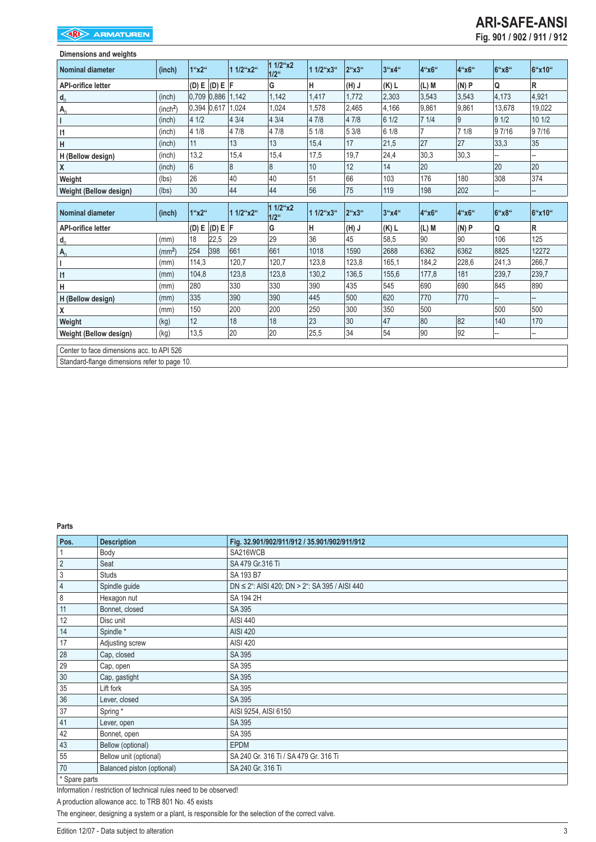| Dimensions and weights    |                      |       |                       |                |                                      |           |         |         |          |                |        |        |
|---------------------------|----------------------|-------|-----------------------|----------------|--------------------------------------|-----------|---------|---------|----------|----------------|--------|--------|
| <b>Nominal diameter</b>   | (inch)               | 1"x2" |                       | 1 1/2"x2"      | $11^{1/24}x^2$<br>$1/2$ <sup>"</sup> | 1 1/2"x3" | 2"x3"   | 3"x4"   | $4$ "x6" | 4"x6"          | 6"x8"  | 6"x10" |
| <b>API-orifice letter</b> |                      | (D) E | (D) E  F              |                | G                                    | н         | (H) J   | $(K)$ L | $(L)$ M  | (N)P           | Q      | R      |
| $d_0$                     | (inch)               |       | $0,709$ $0,886$ 1,142 |                | 1,142                                | 1,417     | 1.772   | 2,303   | 3,543    | 3.543          | 4.173  | 4,921  |
| $A_0$                     | (inch <sup>2</sup> ) |       | 0,394 0,617 1,024     |                | 1,024                                | 1,578     | 2,465   | 4,166   | 9,861    | 9,861          | 13,678 | 19,022 |
|                           | (inch)               | 4 1/2 |                       | 4 3/4          | 43/4                                 | 4 7/8     | 4 7/8   | 6 1/2   | 71/4     | $\overline{9}$ | 91/2   | 10 1/2 |
| 11                        | (inch)               | 4 1/8 |                       | 4 7/8          | 47/8                                 | 51/8      | 5 3/8   | 6 1/8   |          | 71/8           | 9 7/16 | 97/16  |
| н                         | (inch)               | 11    |                       | 13             | 13                                   | 15,4      | 17      | 21,5    | 27       | 27             | 33,3   | 35     |
| H (Bellow design)         | (inch)               | 13,2  |                       | 15,4           | 15,4                                 | 17,5      | 19,7    | 24,4    | 30,3     | 30,3           |        |        |
| χ                         | (inch)               | 6     |                       | $\overline{8}$ | $\overline{8}$                       | 10        | 12      | 14      | 20       |                | 20     | 20     |
| Weight                    | (lbs)                | 26    |                       | 40             | 40                                   | 51        | 66      | 103     | 176      | 180            | 308    | 374    |
| Weight (Bellow design)    | (lbs)                | 30    |                       | 44             | 44                                   | 56        | 75      | 119     | 198      | 202            |        |        |
|                           |                      |       |                       |                |                                      |           |         |         |          |                |        |        |
| <b>Nominal diameter</b>   | (inch)               | 1"x2" |                       | 1 1/2"x2"      | 1 1/2"x2<br>$1/2$ <sup>"</sup>       | 1 1/2"x3" | 2"x3"   | 3"x4"   | 4"x6"    | 4"x6"          | 6"x8"  | 6"x10" |
| <b>API-orifice letter</b> |                      | (D) E | (D) E  F              |                | G                                    | Н         | $(H)$ J | (K) L   | (L) M    | (N)P           | Q      | R      |
|                           | (mm)                 | 18    | 22,5                  | 29             | 29                                   | 36        | 45      | 58,5    | 90       | 90             | 106    | 125    |
| $d_0$                     | (mm <sup>2</sup> )   | 254   | 398                   | 661            | 661                                  | 1018      | 1590    | 2688    | 6362     | 6362           | 8825   | 12272  |
| $A_0$                     | (mm)                 | 114,3 |                       | 120,7          | 120,7                                | 123,8     | 123,8   | 165,1   | 184,2    | 228,6          | 241,3  | 266,7  |
| $\mathsf{I}$              | (mm)                 | 104,8 |                       | 123,8          | 123,8                                | 130,2     | 136,5   | 155,6   | 177,8    | 181            | 239,7  | 239,7  |
| н                         | (mm)                 | 280   |                       | 330            | 330                                  | 390       | 435     | 545     | 690      | 690            | 845    | 890    |
| H (Bellow design)         | (mm)                 | 335   |                       | 390            | 390                                  | 445       | 500     | 620     | 770      | 770            |        |        |
| χ                         | (mm)                 | 150   |                       | 200            | 200                                  | 250       | 300     | 350     | 500      |                | 500    | 500    |
| Weight                    | (kg)                 | 12    |                       | 18             | 18                                   | 23        | 30      | 47      | 80       | 82             | 140    | 170    |
| Weight (Bellow design)    | (kg)                 | 13,5  |                       | 20             | 20                                   | 25,5      | 34      | 54      | 90       | 92             |        |        |

Center to face dimensions acc. to API 526

Standard-flange dimensions refer to page 10.

**Parts**

| Pos.           | <b>Description</b>         | Fig. 32.901/902/911/912 / 35.901/902/911/912          |
|----------------|----------------------------|-------------------------------------------------------|
|                | Body                       | SA216WCB                                              |
| $\sqrt{2}$     | Seat                       | SA 479 Gr.316 Ti                                      |
| $\mathfrak{Z}$ | <b>Studs</b>               | SA 193 B7                                             |
| $\overline{4}$ | Spindle guide              | $DN \le 2$ ": AISI 420; $DN > 2$ ": SA 395 / AISI 440 |
| $\,8\,$        | Hexagon nut                | SA 194 2H                                             |
| 11             | Bonnet, closed             | SA 395                                                |
| 12             | Disc unit                  | AISI 440                                              |
| 14             | Spindle*                   | <b>AISI 420</b>                                       |
| 17             | Adjusting screw            | <b>AISI 420</b>                                       |
| 28             | Cap, closed                | SA 395                                                |
| 29             | Cap, open                  | SA 395                                                |
| 30             | Cap, gastight              | SA 395                                                |
| 35             | Lift fork                  | SA 395                                                |
| $36\,$         | Lever, closed              | SA 395                                                |
| 37             | Spring*                    | AISI 9254, AISI 6150                                  |
| 41             | Lever, open                | SA 395                                                |
| 42             | Bonnet, open               | SA 395                                                |
| 43             | Bellow (optional)          | <b>EPDM</b>                                           |
| 55             | Bellow unit (optional)     | SA 240 Gr. 316 Ti / SA 479 Gr. 316 Ti                 |
| 70             | Balanced piston (optional) | SA 240 Gr. 316 Ti                                     |
| * Spare parts  |                            |                                                       |

Information / restriction of technical rules need to be observed!

A production allowance acc. to TRB 801 No. 45 exists

The engineer, designing a system or a plant, is responsible for the selection of the correct valve.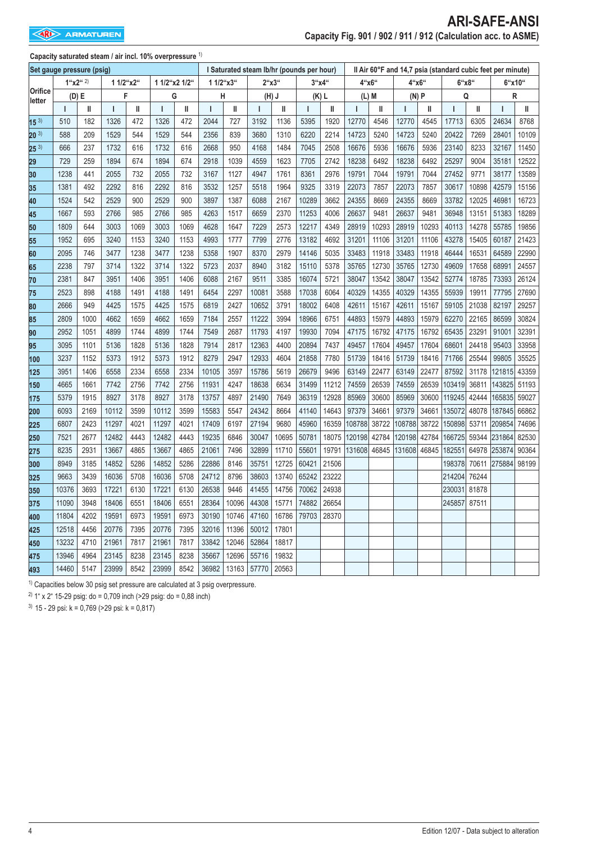| Capacity saturated steam / air incl. 10% overpressure 1) |  |  |  |  |  |
|----------------------------------------------------------|--|--|--|--|--|
|----------------------------------------------------------|--|--|--|--|--|

|                   | Set gauge pressure (psig) |      |           |      |               |      | I Saturated steam Ib/hr (pounds per hour) |       |       |         |              |           |        | Il Air 60°F and 14,7 psia (standard cubic feet per minute) |              |          |                |       |        |       |
|-------------------|---------------------------|------|-----------|------|---------------|------|-------------------------------------------|-------|-------|---------|--------------|-----------|--------|------------------------------------------------------------|--------------|----------|----------------|-------|--------|-------|
|                   | 1``x2``2"                 |      | 1 1/2"x2" |      | 1 1/2"x2 1/2" |      | 1 1/2"x3"                                 |       |       | 2''x3'' |              | $3''$ x4" |        | 4"x6"                                                      |              | $4$ "x6" | $6$ "x $8$ "   |       | 6"x10" |       |
| Orifice<br>letter | (D) E                     |      | F         |      | G             |      | н                                         |       |       | $(H)$ J |              | (K) L     |        | (L) M                                                      | (N)P         |          | Q              |       | R      |       |
|                   | T                         | Ш    | T         | II   | $\mathsf{I}$  | Ш    | ı                                         | Ш     | т     | Ш       | $\mathbf{I}$ | Ш         | T      | Ш                                                          | $\mathbf{I}$ | Ш        | $\overline{1}$ | Ш     | T      | Ш     |
| $15^{3}$          | 510                       | 182  | 1326      | 472  | 1326          | 472  | 2044                                      | 727   | 3192  | 1136    | 5395         | 1920      | 12770  | 4546                                                       | 12770        | 4545     | 17713          | 6305  | 24634  | 8768  |
| $20^{3}$          | 588                       | 209  | 1529      | 544  | 1529          | 544  | 2356                                      | 839   | 3680  | 1310    | 6220         | 2214      | 14723  | 5240                                                       | 14723        | 5240     | 20422          | 7269  | 28401  | 10109 |
| $25^{3}$          | 666                       | 237  | 1732      | 616  | 1732          | 616  | 2668                                      | 950   | 4168  | 1484    | 7045         | 2508      | 16676  | 5936                                                       | 16676        | 5936     | 23140          | 8233  | 32167  | 11450 |
| 29                | 729                       | 259  | 1894      | 674  | 1894          | 674  | 2918                                      | 1039  | 4559  | 1623    | 7705         | 2742      | 18238  | 6492                                                       | 18238        | 6492     | 25297          | 9004  | 35181  | 12522 |
| 30                | 1238                      | 441  | 2055      | 732  | 2055          | 732  | 3167                                      | 1127  | 4947  | 1761    | 8361         | 2976      | 19791  | 7044                                                       | 19791        | 7044     | 27452          | 9771  | 38177  | 13589 |
| 35                | 1381                      | 492  | 2292      | 816  | 2292          | 816  | 3532                                      | 1257  | 5518  | 1964    | 9325         | 3319      | 22073  | 7857                                                       | 22073        | 7857     | 30617          | 10898 | 42579  | 15156 |
| 40                | 1524                      | 542  | 2529      | 900  | 2529          | 900  | 3897                                      | 1387  | 6088  | 2167    | 10289        | 3662      | 24355  | 8669                                                       | 24355        | 8669     | 33782          | 12025 | 46981  | 16723 |
| 45                | 1667                      | 593  | 2766      | 985  | 2766          | 985  | 4263                                      | 1517  | 6659  | 2370    | 11253        | 4006      | 26637  | 9481                                                       | 26637        | 9481     | 36948          | 13151 | 51383  | 18289 |
| 50                | 1809                      | 644  | 3003      | 1069 | 3003          | 1069 | 4628                                      | 1647  | 7229  | 2573    | 12217        | 4349      | 28919  | 10293                                                      | 28919        | 10293    | 40113          | 14278 | 55785  | 19856 |
| 55                | 1952                      | 695  | 3240      | 1153 | 3240          | 1153 | 4993                                      | 1777  | 7799  | 2776    | 13182        | 4692      | 31201  | 11106                                                      | 31201        | 11106    | 43278          | 15405 | 60187  | 21423 |
| 60                | 2095                      | 746  | 3477      | 1238 | 3477          | 1238 | 5358                                      | 1907  | 8370  | 2979    | 14146        | 5035      | 33483  | 11918                                                      | 33483        | 11918    | 46444          | 16531 | 64589  | 22990 |
| 65                | 2238                      | 797  | 3714      | 1322 | 3714          | 1322 | 5723                                      | 2037  | 8940  | 3182    | 15110        | 5378      | 35765  | 12730                                                      | 35765        | 12730    | 49609          | 17658 | 68991  | 24557 |
| 70                | 2381                      | 847  | 3951      | 1406 | 3951          | 1406 | 6088                                      | 2167  | 9511  | 3385    | 16074        | 5721      | 38047  | 13542                                                      | 38047        | 13542    | 52774          | 18785 | 73393  | 26124 |
| 75                | 2523                      | 898  | 4188      | 1491 | 4188          | 1491 | 6454                                      | 2297  | 10081 | 3588    | 17038        | 6064      | 40329  | 14355                                                      | 40329        | 14355    | 55939          | 19911 | 77795  | 27690 |
| 80                | 2666                      | 949  | 4425      | 1575 | 4425          | 1575 | 6819                                      | 2427  | 10652 | 3791    | 18002        | 6408      | 42611  | 15167                                                      | 42611        | 15167    | 59105          | 21038 | 82197  | 29257 |
| 85                | 2809                      | 1000 | 4662      | 1659 | 4662          | 1659 | 7184                                      | 2557  | 11222 | 3994    | 18966        | 6751      | 44893  | 15979                                                      | 44893        | 15979    | 62270          | 22165 | 86599  | 30824 |
| 90                | 2952                      | 1051 | 4899      | 1744 | 4899          | 1744 | 7549                                      | 2687  | 11793 | 4197    | 19930        | 7094      | 47175  | 16792                                                      | 47175        | 16792    | 65435          | 23291 | 91001  | 32391 |
| 95                | 3095                      | 1101 | 5136      | 1828 | 5136          | 1828 | 7914                                      | 2817  | 12363 | 4400    | 20894        | 7437      | 49457  | 17604                                                      | 49457        | 17604    | 68601          | 24418 | 95403  | 33958 |
| 100               | 3237                      | 1152 | 5373      | 1912 | 5373          | 1912 | 8279                                      | 2947  | 12933 | 4604    | 21858        | 7780      | 51739  | 18416                                                      | 51739        | 18416    | 71766          | 25544 | 99805  | 35525 |
| 125               | 3951                      | 1406 | 6558      | 2334 | 6558          | 2334 | 10105                                     | 3597  | 15786 | 5619    | 26679        | 9496      | 63149  | 22477                                                      | 63149        | 22477    | 87592          | 31178 | 121815 | 43359 |
| 150               | 4665                      | 1661 | 7742      | 2756 | 7742          | 2756 | 11931                                     | 4247  | 18638 | 6634    | 31499        | 11212     | 74559  | 26539                                                      | 74559        | 26539    | 103419         | 36811 | 143825 | 51193 |
| 175               | 5379                      | 1915 | 8927      | 3178 | 8927          | 3178 | 13757                                     | 4897  | 21490 | 7649    | 36319        | 12928     | 85969  | 30600                                                      | 85969        | 30600    | 119245         | 42444 | 165835 | 59027 |
| 200               | 6093                      | 2169 | 10112     | 3599 | 10112         | 3599 | 15583                                     | 5547  | 24342 | 8664    | 41140        | 14643     | 97379  | 34661                                                      | 97379        | 34661    | 135072         | 48078 | 187845 | 66862 |
| 225               | 6807                      | 2423 | 11297     | 4021 | 11297         | 4021 | 17409                                     | 6197  | 27194 | 9680    | 45960        | 16359     | 108788 | 38722                                                      | 108788       | 38722    | 150898         | 53711 | 209854 | 74696 |
| 250               | 7521                      | 2677 | 12482     | 4443 | 12482         | 4443 | 19235                                     | 6846  | 30047 | 10695   | 50781        | 18075     | 120198 | 42784                                                      | 120198       | 42784    | 166725         | 59344 | 231864 | 82530 |
| 275               | 8235                      | 2931 | 13667     | 4865 | 13667         | 4865 | 21061                                     | 7496  | 32899 | 11710   | 55601        | 19791     | 131608 | 46845                                                      | 131608       | 46845    | 182551         | 64978 | 253874 | 90364 |
| 300               | 8949                      | 3185 | 14852     | 5286 | 14852         | 5286 | 22886                                     | 8146  | 35751 | 12725   | 60421        | 21506     |        |                                                            |              |          | 198378         | 70611 | 275884 | 98199 |
| 325               | 9663                      | 3439 | 16036     | 5708 | 16036         | 5708 | 24712                                     | 8796  | 38603 | 13740   | 65242        | 23222     |        |                                                            |              |          | 214204         | 76244 |        |       |
| 350               | 10376                     | 3693 | 17221     | 6130 | 17221         | 6130 | 26538                                     | 9446  | 41455 | 14756   | 70062        | 24938     |        |                                                            |              |          | 230031         | 81878 |        |       |
| 375               | 11090                     | 3948 | 18406     | 6551 | 18406         | 6551 | 28364                                     | 10096 | 44308 | 15771   | 74882        | 26654     |        |                                                            |              |          | 245857         | 87511 |        |       |
| 400               | 11804                     | 4202 | 19591     | 6973 | 19591         | 6973 | 30190                                     | 10746 | 47160 | 16786   | 79703        | 28370     |        |                                                            |              |          |                |       |        |       |
| 425               | 12518                     | 4456 | 20776     | 7395 | 20776         | 7395 | 32016                                     | 11396 | 50012 | 17801   |              |           |        |                                                            |              |          |                |       |        |       |
| 450               | 13232                     | 4710 | 21961     | 7817 | 21961         | 7817 | 33842                                     | 12046 | 52864 | 18817   |              |           |        |                                                            |              |          |                |       |        |       |
| 475               | 13946                     | 4964 | 23145     | 8238 | 23145         | 8238 | 35667                                     | 12696 | 55716 | 19832   |              |           |        |                                                            |              |          |                |       |        |       |
| 493               | 14460                     | 5147 | 23999     | 8542 | 23999         | 8542 | 36982                                     | 13163 | 57770 | 20563   |              |           |        |                                                            |              |          |                |       |        |       |

<sup>1)</sup> Capacities below 30 psig set pressure are calculated at 3 psig overpressure.

<sup>2)</sup> 1" x 2" 15-29 psig: do = 0,709 inch (> 29 psig: do = 0,88 inch)

 $3)$  15 - 29 psi: k = 0,769 (> 29 psi: k = 0,817)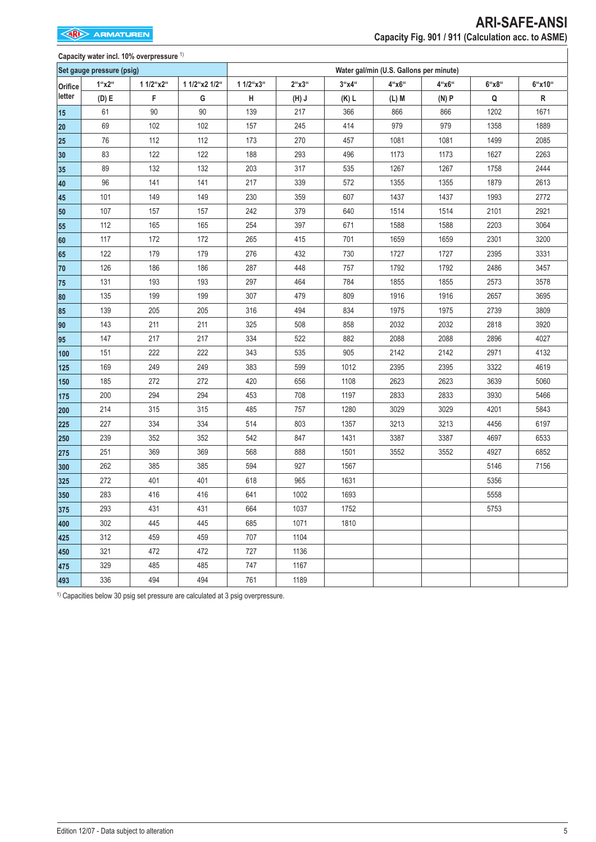# **Capacity water incl. 10% overpressure** 1)

|         | Set gauge pressure (psig) |           |               |           |         |         | Water gal/min (U.S. Gallons per minute) |       |       |        |  |  |
|---------|---------------------------|-----------|---------------|-----------|---------|---------|-----------------------------------------|-------|-------|--------|--|--|
| Orifice | 1"x2"                     | 1 1/2"x2" | 1 1/2"x2 1/2" | 1 1/2"x3" | 2"x3"   | 3''x4'' | 4"x6"                                   | 4"x6" | 6"x8" | 6"x10" |  |  |
| letter  | (D) E                     | F         | G             | Н         | $(H)$ J | $(K)$ L | (L) M                                   | (N)P  | Q     | R      |  |  |
| 15      | 61                        | 90        | 90            | 139       | 217     | 366     | 866                                     | 866   | 1202  | 1671   |  |  |
| 20      | 69                        | 102       | 102           | 157       | 245     | 414     | 979                                     | 979   | 1358  | 1889   |  |  |
| 25      | 76                        | 112       | 112           | 173       | 270     | 457     | 1081                                    | 1081  | 1499  | 2085   |  |  |
| 30      | 83                        | 122       | 122           | 188       | 293     | 496     | 1173                                    | 1173  | 1627  | 2263   |  |  |
| 35      | 89                        | 132       | 132           | 203       | 317     | 535     | 1267                                    | 1267  | 1758  | 2444   |  |  |
| 40      | 96                        | 141       | 141           | 217       | 339     | 572     | 1355                                    | 1355  | 1879  | 2613   |  |  |
| 45      | 101                       | 149       | 149           | 230       | 359     | 607     | 1437                                    | 1437  | 1993  | 2772   |  |  |
| 50      | 107                       | 157       | 157           | 242       | 379     | 640     | 1514                                    | 1514  | 2101  | 2921   |  |  |
| 55      | 112                       | 165       | 165           | 254       | 397     | 671     | 1588                                    | 1588  | 2203  | 3064   |  |  |
| 60      | 117                       | 172       | 172           | 265       | 415     | 701     | 1659                                    | 1659  | 2301  | 3200   |  |  |
| 65      | 122                       | 179       | 179           | 276       | 432     | 730     | 1727                                    | 1727  | 2395  | 3331   |  |  |
| 70      | 126                       | 186       | 186           | 287       | 448     | 757     | 1792                                    | 1792  | 2486  | 3457   |  |  |
| 75      | 131                       | 193       | 193           | 297       | 464     | 784     | 1855                                    | 1855  | 2573  | 3578   |  |  |
| 80      | 135                       | 199       | 199           | 307       | 479     | 809     | 1916                                    | 1916  | 2657  | 3695   |  |  |
| 85      | 139                       | 205       | 205           | 316       | 494     | 834     | 1975                                    | 1975  | 2739  | 3809   |  |  |
| 90      | 143                       | 211       | 211           | 325       | 508     | 858     | 2032                                    | 2032  | 2818  | 3920   |  |  |
| 95      | 147                       | 217       | 217           | 334       | 522     | 882     | 2088                                    | 2088  | 2896  | 4027   |  |  |
| 100     | 151                       | 222       | 222           | 343       | 535     | 905     | 2142                                    | 2142  | 2971  | 4132   |  |  |
| 125     | 169                       | 249       | 249           | 383       | 599     | 1012    | 2395                                    | 2395  | 3322  | 4619   |  |  |
| 150     | 185                       | 272       | 272           | 420       | 656     | 1108    | 2623                                    | 2623  | 3639  | 5060   |  |  |
| 175     | 200                       | 294       | 294           | 453       | 708     | 1197    | 2833                                    | 2833  | 3930  | 5466   |  |  |
| 200     | 214                       | 315       | 315           | 485       | 757     | 1280    | 3029                                    | 3029  | 4201  | 5843   |  |  |
| 225     | 227                       | 334       | 334           | 514       | 803     | 1357    | 3213                                    | 3213  | 4456  | 6197   |  |  |
| 250     | 239                       | 352       | 352           | 542       | 847     | 1431    | 3387                                    | 3387  | 4697  | 6533   |  |  |
| 275     | 251                       | 369       | 369           | 568       | 888     | 1501    | 3552                                    | 3552  | 4927  | 6852   |  |  |
| 300     | 262                       | 385       | 385           | 594       | 927     | 1567    |                                         |       | 5146  | 7156   |  |  |
| 325     | 272                       | 401       | 401           | 618       | 965     | 1631    |                                         |       | 5356  |        |  |  |
| 350     | 283                       | 416       | 416           | 641       | 1002    | 1693    |                                         |       | 5558  |        |  |  |
| 375     | 293                       | 431       | 431           | 664       | 1037    | 1752    |                                         |       | 5753  |        |  |  |
| 400     | 302                       | 445       | 445           | 685       | 1071    | 1810    |                                         |       |       |        |  |  |
| 425     | 312                       | 459       | 459           | 707       | 1104    |         |                                         |       |       |        |  |  |
| 450     | 321                       | 472       | 472           | 727       | 1136    |         |                                         |       |       |        |  |  |
| 475     | 329                       | 485       | 485           | 747       | 1167    |         |                                         |       |       |        |  |  |
| 493     | 336                       | 494       | 494           | 761       | 1189    |         |                                         |       |       |        |  |  |

 $1)$  Capacities below 30 psig set pressure are calculated at 3 psig overpressure.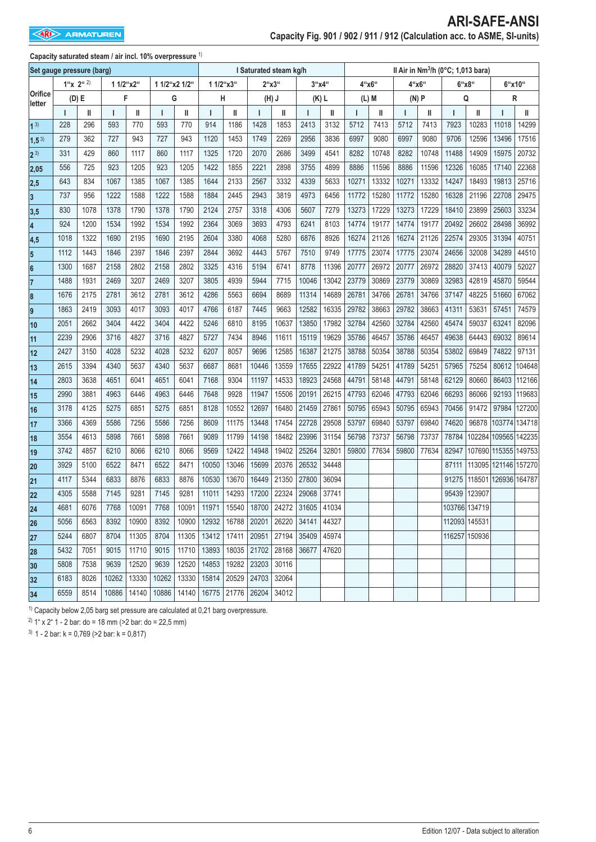|                           |                 |      |           |       |               | Il Air in Nm <sup>3</sup> /h (0°C; 1,013 bara)<br>I Saturated steam kg/h |           |       |                   |                                       |       |         |         |       |       |       |               |               |                      |        |
|---------------------------|-----------------|------|-----------|-------|---------------|--------------------------------------------------------------------------|-----------|-------|-------------------|---------------------------------------|-------|---------|---------|-------|-------|-------|---------------|---------------|----------------------|--------|
| Set gauge pressure (barg) |                 |      |           |       |               |                                                                          |           |       |                   |                                       |       |         |         |       |       |       |               |               |                      |        |
| Orifice                   | $1''x$ $2''$ 2) |      | 1 1/2"x2" |       | 1 1/2"x2 1/2" |                                                                          | 1 1/2"x3" |       |                   | 2"x3"                                 |       | 3''x4'' | 4"x6"   |       | 4"x6" |       | 6"x8"         |               | 6"x10"               |        |
| letter                    | (D) E           |      | F         |       | G             |                                                                          | Н         |       | $(H)$ J           |                                       |       | (K) L   | $(L)$ M |       | (N)P  |       | Q             |               | R                    |        |
|                           | $\mathbf{I}$    | Ш    | ı         | Ш     | T             | Ш                                                                        | т         | Ш     | ı                 | Ш                                     | ı     | Ш       | ı       | Ш     | ı     | Ш     | Ī             | Ш             | I                    | Ш      |
| 1 <sup>3</sup>            | 228             | 296  | 593       | 770   | 593           | 770                                                                      | 914       | 1186  | 1428              | 1853                                  | 2413  | 3132    | 5712    | 7413  | 5712  | 7413  | 7923          | 10283         | 11018                | 14299  |
| $1,5^{3}$                 | 279             | 362  | 727       | 943   | 727           | 943                                                                      | 1120      | 1453  | 1749              | 2269                                  | 2956  | 3836    | 6997    | 9080  | 6997  | 9080  | 9706          | 12596         | 13496                | 17516  |
| $2^{3}$                   | 331             | 429  | 860       | 1117  | 860           | 1117                                                                     | 1325      | 1720  | 2070              | 2686                                  | 3499  | 4541    | 8282    | 10748 | 8282  | 10748 | 11488         | 14909         | 15975                | 20732  |
| 2,05                      | 556             | 725  | 923       | 1205  | 923           | 1205                                                                     | 1422      | 1855  | 2221              | 2898                                  | 3755  | 4899    | 8886    | 11596 | 8886  | 11596 | 12326         | 16085         | 17140                | 22368  |
| 2,5                       | 643             | 834  | 1067      | 1385  | 1067          | 1385                                                                     | 1644      | 2133  | 2567              | 3332                                  | 4339  | 5633    | 10271   | 13332 | 10271 | 13332 | 14247         | 18493         | 19813                | 25716  |
| $\overline{3}$            | 737             | 956  | 1222      | 1588  | 1222          | 1588                                                                     | 1884      | 2445  | 2943              | 3819                                  | 4973  | 6456    | 11772   | 15280 | 11772 | 15280 | 16328         | 21196         | 22708                | 29475  |
| 3,5                       | 830             | 1078 | 1378      | 1790  | 1378          | 1790                                                                     | 2124      | 2757  | 3318              | 4306                                  | 5607  | 7279    | 13273   | 17229 | 13273 | 17229 | 18410         | 23899         | 25603                | 33234  |
| $\overline{\mathbf{4}}$   | 924             | 1200 | 1534      | 1992  | 1534          | 1992                                                                     | 2364      | 3069  | 3693              | 4793                                  | 6241  | 8103    | 14774   | 19177 | 14774 | 19177 | 20492         | 26602         | 28498                | 36992  |
| 4,5                       | 1018            | 1322 | 1690      | 2195  | 1690          | 2195                                                                     | 2604      | 3380  | 4068              | 5280                                  | 6876  | 8926    | 16274   | 21126 | 16274 | 21126 | 22574         | 29305         | 31394                | 40751  |
| $5\phantom{.0}$           | 1112            | 1443 | 1846      | 2397  | 1846          | 2397                                                                     | 2844      | 3692  | 4443              | 5767                                  | 7510  | 9749    | 17775   | 23074 | 17775 | 23074 | 24656         | 32008         | 34289                | 44510  |
| $6\phantom{a}$            | 1300            | 1687 | 2158      | 2802  | 2158          | 2802                                                                     | 3325      | 4316  | 5194              | 6741                                  | 8778  | 11396   | 20777   | 26972 | 20777 | 26972 | 28820         | 37413         | 40079                | 52027  |
| 17                        | 1488            | 1931 | 2469      | 3207  | 2469          | 3207                                                                     | 3805      | 4939  | 5944              | 7715                                  | 10046 | 13042   | 23779   | 30869 | 23779 | 30869 | 32983         | 42819         | 45870                | 59544  |
| 8                         | 1676            | 2175 | 2781      | 3612  | 2781          | 3612                                                                     | 4286      | 5563  | 6694              | 8689                                  | 11314 | 14689   | 26781   | 34766 | 26781 | 34766 | 37147         | 48225         | 51660                | 67062  |
| 9                         | 1863            | 2419 | 3093      | 4017  | 3093          | 4017                                                                     | 4766      | 6187  | 7445              | 9663                                  | 12582 | 16335   | 29782   | 38663 | 29782 | 38663 | 41311         | 53631         | 57451                | 74579  |
| 10                        | 2051            | 2662 | 3404      | 4422  | 3404          | 4422                                                                     | 5246      | 6810  | 8195              | 10637                                 | 13850 | 17982   | 32784   | 42560 | 32784 | 42560 | 45474         | 59037         | 63241                | 82096  |
| 11                        | 2239            | 2906 | 3716      | 4827  | 3716          | 4827                                                                     | 5727      | 7434  | 8946              | 11611                                 | 15119 | 19629   | 35786   | 46457 | 35786 | 46457 | 49638         | 64443         | 69032                | 89614  |
| 12                        | 2427            | 3150 | 4028      | 5232  | 4028          | 5232                                                                     | 6207      | 8057  | 9696              | 12585                                 | 16387 | 21275   | 38788   | 50354 | 38788 | 50354 | 53802         | 69849         | 74822                | 97131  |
| 13                        | 2615            | 3394 | 4340      | 5637  | 4340          | 5637                                                                     | 6687      | 8681  | 10446             | 13559                                 | 17655 | 22922   | 41789   | 54251 | 41789 | 54251 | 57965         | 75254         | 80612                | 104648 |
| 14                        | 2803            | 3638 | 4651      | 6041  | 4651          | 6041                                                                     | 7168      | 9304  | 11197             | 14533                                 | 18923 | 24568   | 44791   | 58148 | 44791 | 58148 | 62129         | 80660         | 86403                | 112166 |
| 15                        | 2990            | 3881 | 4963      | 6446  | 4963          | 6446                                                                     | 7648      | 9928  | 11947             | 15506                                 | 20191 | 26215   | 47793   | 62046 | 47793 | 62046 | 66293         | 86066         | 92193                | 119683 |
| 16                        | 3178            | 4125 | 5275      | 6851  | 5275          | 6851                                                                     | 8128      | 10552 | 12697             | 16480                                 | 21459 | 27861   | 50795   | 65943 | 50795 | 65943 | 70456         | 91472         | 97984                | 127200 |
| 17                        | 3366            | 4369 | 5586      | 7256  | 5586          | 7256                                                                     | 8609      | 11175 | 13448             | 17454                                 | 22728 | 29508   | 53797   | 69840 | 53797 | 69840 | 74620         | 96878         | 103774 134718        |        |
| 18                        | 3554            | 4613 | 5898      | 7661  | 5898          | 7661                                                                     | 9089      | 11799 | 14198             | 18482                                 | 23996 | 31154   | 56798   | 73737 | 56798 | 73737 | 78784         |               | 102284 109565 142235 |        |
| 19                        | 3742            | 4857 | 6210      | 8066  | 6210          | 8066                                                                     | 9569      | 12422 | 14948             | 19402                                 | 25264 | 32801   | 59800   | 77634 | 59800 | 77634 | 82947         |               | 107690 115355 149753 |        |
| 20                        | 3929            | 5100 | 6522      | 8471  | 6522          | 8471                                                                     | 10050     | 13046 | 15699             | 20376                                 | 26532 | 34448   |         |       |       |       | 87111         |               | 113095 121146 157270 |        |
| 21                        | 4117            | 5344 | 6833      | 8876  | 6833          | 8876                                                                     | 10530     | 13670 | 16449             | 21350                                 | 27800 | 36094   |         |       |       |       | 91275         |               | 118501 126936 164787 |        |
| 22                        | 4305            | 5588 | 7145      | 9281  | 7145          | 9281                                                                     | 11011     | 14293 | 17200             | 22324                                 | 29068 | 37741   |         |       |       |       | 95439         | 123907        |                      |        |
| 24                        | 4681            | 6076 | 7768      |       |               | 10091 7768 10091 11971 15540 18700 24272 31605                           |           |       |                   |                                       |       | 41034   |         |       |       |       |               | 103766 134719 |                      |        |
| 26                        | 5056            | 6563 | 8392      | 10900 |               | 8392   10900   12932   16788   20201   26220   34141   44327             |           |       |                   |                                       |       |         |         |       |       |       | 112093 145531 |               |                      |        |
| 27                        | 5244            | 6807 | 8704      | 11305 | 8704          | 11305                                                                    | 13412     |       |                   | 17411   20951   27194   35409   45974 |       |         |         |       |       |       | 116257 150936 |               |                      |        |
| 28                        | 5432            | 7051 | 9015      | 11710 | 9015          | 11710 13893                                                              |           |       |                   | 18035 21702 28168 36677 47620         |       |         |         |       |       |       |               |               |                      |        |
| 30                        | 5808            | 7538 | 9639      | 12520 | 9639          | 12520                                                                    | 14853     |       | 19282 23203 30116 |                                       |       |         |         |       |       |       |               |               |                      |        |
| 32                        | 6183            | 8026 | 10262     | 13330 | 10262         | 13330                                                                    | 15814     |       | 20529 24703 32064 |                                       |       |         |         |       |       |       |               |               |                      |        |
| 34                        | 6559            | 8514 | 10886     |       |               | 14140   10886   14140   16775   21776   26204   34012                    |           |       |                   |                                       |       |         |         |       |       |       |               |               |                      |        |

**Capacity saturated steam / air incl. 10% overpressure** 1)

 $1)$  Capacity below 2,05 barg set pressure are calculated at 0,21 barg overpressure.

<sup>2)</sup> 1" x 2" 1 - 2 bar: do = 18 mm (> 2 bar: do = 22,5 mm)

 $3)$  1 - 2 bar: k = 0,769 (> 2 bar: k = 0,817)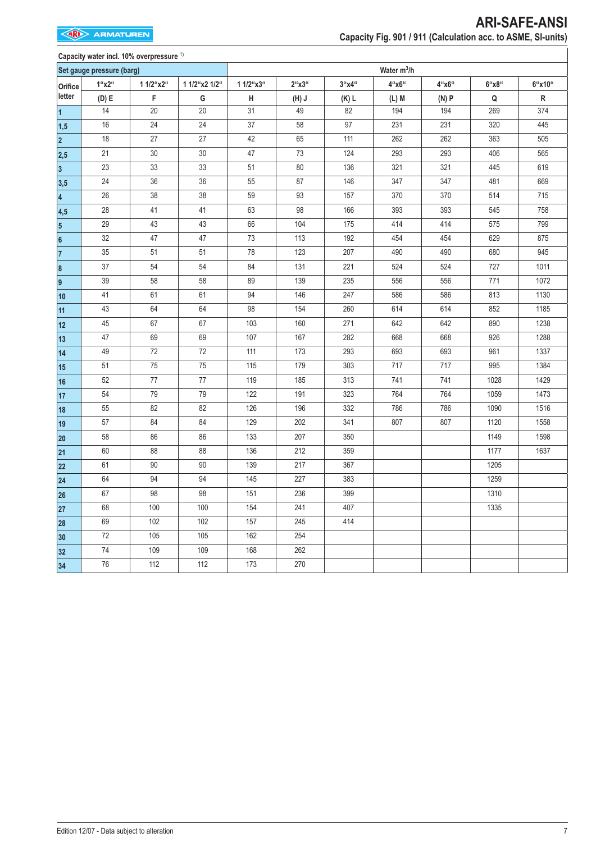|                         |                           | Capacity water incl. 10% overpressure 1) |               |           |              |          |                         |       |       |        |
|-------------------------|---------------------------|------------------------------------------|---------------|-----------|--------------|----------|-------------------------|-------|-------|--------|
|                         | Set gauge pressure (barg) |                                          |               |           |              |          | Water m <sup>3</sup> /h |       |       |        |
| Orifice                 | $1$ "x2"                  | 1 1/2"x2"                                | 1 1/2"x2 1/2" | 1 1/2"x3" | $2$ "x $3$ " | $3$ "x4" | $4$ "x6"                | 4"x6" | 6"x8" | 6"x10" |
| letter                  | (D) E                     | F                                        | G             | $\sf H$   | (L(H))       | $(K)$ L  | $(L)$ M                 | (N)P  | Q     | R      |
| $\overline{1}$          | 14                        | 20                                       | 20            | 31        | 49           | 82       | 194                     | 194   | 269   | 374    |
| 1,5                     | 16                        | 24                                       | 24            | 37        | 58           | 97       | 231                     | 231   | 320   | 445    |
| $\overline{\mathbf{2}}$ | 18                        | 27                                       | 27            | 42        | 65           | 111      | 262                     | 262   | 363   | 505    |
| 2,5                     | 21                        | $30\,$                                   | 30            | 47        | 73           | 124      | 293                     | 293   | 406   | 565    |
| $\overline{\mathbf{3}}$ | 23                        | 33                                       | 33            | 51        | 80           | 136      | 321                     | 321   | 445   | 619    |
| 3,5                     | 24                        | 36                                       | 36            | 55        | 87           | 146      | 347                     | 347   | 481   | 669    |
| $\overline{\mathbf{4}}$ | 26                        | 38                                       | 38            | 59        | 93           | 157      | 370                     | 370   | 514   | 715    |
| 4,5                     | 28                        | 41                                       | 41            | 63        | 98           | 166      | 393                     | 393   | 545   | 758    |
| $5\overline{)}$         | 29                        | 43                                       | 43            | 66        | 104          | 175      | 414                     | 414   | 575   | 799    |
| 6                       | 32                        | 47                                       | 47            | 73        | 113          | 192      | 454                     | 454   | 629   | 875    |
| $\overline{7}$          | 35                        | 51                                       | 51            | 78        | 123          | 207      | 490                     | 490   | 680   | 945    |
| $\bf 8$                 | 37                        | 54                                       | 54            | 84        | 131          | 221      | 524                     | 524   | 727   | 1011   |
| 9                       | 39                        | 58                                       | 58            | 89        | 139          | 235      | 556                     | 556   | 771   | 1072   |
| 10                      | 41                        | 61                                       | 61            | 94        | 146          | 247      | 586                     | 586   | 813   | 1130   |
| 11                      | 43                        | 64                                       | 64            | 98        | 154          | 260      | 614                     | 614   | 852   | 1185   |
| 12                      | 45                        | 67                                       | 67            | 103       | 160          | 271      | 642                     | 642   | 890   | 1238   |
| 13                      | 47                        | 69                                       | 69            | 107       | 167          | 282      | 668                     | 668   | 926   | 1288   |
| 14                      | 49                        | $72\,$                                   | 72            | 111       | 173          | 293      | 693                     | 693   | 961   | 1337   |
| 15                      | 51                        | 75                                       | 75            | 115       | 179          | 303      | 717                     | 717   | 995   | 1384   |
| 16                      | 52                        | $77\,$                                   | $77\,$        | 119       | 185          | 313      | 741                     | 741   | 1028  | 1429   |
| 17                      | 54                        | 79                                       | 79            | 122       | 191          | 323      | 764                     | 764   | 1059  | 1473   |
| 18                      | 55                        | 82                                       | 82            | 126       | 196          | 332      | 786                     | 786   | 1090  | 1516   |
| 19                      | 57                        | 84                                       | 84            | 129       | 202          | 341      | 807                     | 807   | 1120  | 1558   |
| 20                      | 58                        | 86                                       | 86            | 133       | 207          | 350      |                         |       | 1149  | 1598   |
| 21                      | 60                        | 88                                       | 88            | 136       | 212          | 359      |                         |       | 1177  | 1637   |
| 22                      | 61                        | 90                                       | 90            | 139       | 217          | 367      |                         |       | 1205  |        |
| 24                      | 64                        | 94                                       | 94            | 145       | 227          | 383      |                         |       | 1259  |        |
| 26                      | 67                        | 98                                       | 98            | 151       | 236          | 399      |                         |       | 1310  |        |
| 27                      | 68                        | 100                                      | 100           | 154       | 241          | 407      |                         |       | 1335  |        |
| 28                      | 69                        | 102                                      | 102           | 157       | 245          | 414      |                         |       |       |        |
| 30                      | 72                        | 105                                      | 105           | 162       | 254          |          |                         |       |       |        |
| 32                      | 74                        | 109                                      | 109           | 168       | 262          |          |                         |       |       |        |
| 34                      | 76                        | 112                                      | 112           | 173       | 270          |          |                         |       |       |        |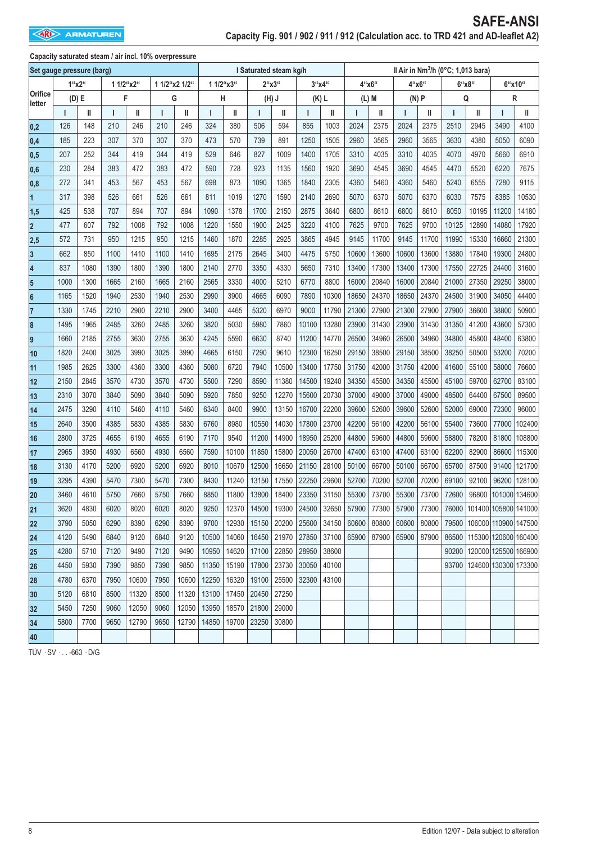|                           |       |      |           | Capacity saturated steam / air incl. 10% overpressure |               |       |           |       |       |                        |       |         |             |                   |       |                                                |       |       |                            |        |  |
|---------------------------|-------|------|-----------|-------------------------------------------------------|---------------|-------|-----------|-------|-------|------------------------|-------|---------|-------------|-------------------|-------|------------------------------------------------|-------|-------|----------------------------|--------|--|
| Set gauge pressure (barg) |       |      |           |                                                       |               |       |           |       |       | I Saturated steam kg/h |       |         |             |                   |       | Il Air in Nm <sup>3</sup> /h (0°C; 1,013 bara) |       |       |                            |        |  |
|                           | 1"x2" |      | 1 1/2"x2" |                                                       | 1 1/2"x2 1/2" |       | 1 1/2"x3" |       | 2"x3" |                        |       | 3''x4'' | 4"x6"       |                   | 4"x6" |                                                | 6"x8" |       |                            | 6"x10" |  |
| Orifice<br>letter         | (D) E |      | F         |                                                       | G             |       | Н         |       | (H) J |                        |       | (K) L   | (L) M       |                   | (N) P |                                                | Q     |       |                            | R      |  |
|                           |       | II   | ı         | II                                                    | ı             | Ш     |           | II    |       | Ш                      |       | Ш       |             | Ш                 |       | Ш                                              | ı     | Ш     |                            | Ш      |  |
| 0,2                       | 126   | 148  | 210       | 246                                                   | 210           | 246   | 324       | 380   | 506   | 594                    | 855   | 1003    | 2024        | 2375              | 2024  | 2375                                           | 2510  | 2945  | 3490                       | 4100   |  |
| 0,4                       | 185   | 223  | 307       | 370                                                   | 307           | 370   | 473       | 570   | 739   | 891                    | 1250  | 1505    | 2960        | 3565              | 2960  | 3565                                           | 3630  | 4380  | 5050                       | 6090   |  |
| 0,5                       | 207   | 252  | 344       | 419                                                   | 344           | 419   | 529       | 646   | 827   | 1009                   | 1400  | 1705    | 3310        | 4035              | 3310  | 4035                                           | 4070  | 4970  | 5660                       | 6910   |  |
| 0,6                       | 230   | 284  | 383       | 472                                                   | 383           | 472   | 590       | 728   | 923   | 1135                   | 1560  | 1920    | 3690        | 4545              | 3690  | 4545                                           | 4470  | 5520  | 6220                       | 7675   |  |
| 0,8                       | 272   | 341  | 453       | 567                                                   | 453           | 567   | 698       | 873   | 1090  | 1365                   | 1840  | 2305    | 4360        | 5460              | 4360  | 5460                                           | 5240  | 6555  | 7280                       | 9115   |  |
| 1                         | 317   | 398  | 526       | 661                                                   | 526           | 661   | 811       | 1019  | 1270  | 1590                   | 2140  | 2690    | 5070        | 6370              | 5070  | 6370                                           | 6030  | 7575  | 8385                       | 10530  |  |
| 1,5                       | 425   | 538  | 707       | 894                                                   | 707           | 894   | 1090      | 1378  | 1700  | 2150                   | 2875  | 3640    | 6800        | 8610              | 6800  | 8610                                           | 8050  | 10195 | 11200                      | 14180  |  |
| $\overline{2}$            | 477   | 607  | 792       | 1008                                                  | 792           | 1008  | 1220      | 1550  | 1900  | 2425                   | 3220  | 4100    | 7625        | 9700              | 7625  | 9700                                           | 10125 | 12890 | 14080                      | 17920  |  |
| 2,5                       | 572   | 731  | 950       | 1215                                                  | 950           | 1215  | 1460      | 1870  | 2285  | 2925                   | 3865  | 4945    | 9145        | 11700             | 9145  | 11700                                          | 11990 | 15330 | 16660                      | 21300  |  |
| 3                         | 662   | 850  | 1100      | 1410                                                  | 1100          | 1410  | 1695      | 2175  | 2645  | 3400                   | 4475  | 5750    | 10600       | 13600             | 10600 | 13600                                          | 13880 | 17840 | 19300                      | 24800  |  |
| 14                        | 837   | 1080 | 1390      | 1800                                                  | 1390          | 1800  | 2140      | 2770  | 3350  | 4330                   | 5650  | 7310    | 13400       | 17300             | 13400 | 17300                                          | 17550 | 22725 | 24400                      | 31600  |  |
| 5                         | 1000  | 1300 | 1665      | 2160                                                  | 1665          | 2160  | 2565      | 3330  | 4000  | 5210                   | 6770  | 8800    | 16000       | 20840             | 16000 | 20840                                          | 21000 | 27350 | 29250                      | 38000  |  |
| 6                         | 1165  | 1520 | 1940      | 2530                                                  | 1940          | 2530  | 2990      | 3900  | 4665  | 6090                   | 7890  | 10300   | 18650       | 24370             | 18650 | 24370                                          | 24500 | 31900 | 34050                      | 44400  |  |
| 17                        | 1330  | 1745 | 2210      | 2900                                                  | 2210          | 2900  | 3400      | 4465  | 5320  | 6970                   | 9000  | 11790   | 21300       | 27900             | 21300 | 27900                                          | 27900 | 36600 | 38800                      | 50900  |  |
| 8                         | 1495  | 1965 | 2485      | 3260                                                  | 2485          | 3260  | 3820      | 5030  | 5980  | 7860                   | 10100 | 13280   | 23900       | 31430             | 23900 | 31430                                          | 31350 | 41200 | 43600                      | 57300  |  |
| 9                         | 1660  | 2185 | 2755      | 3630                                                  | 2755          | 3630  | 4245      | 5590  | 6630  | 8740                   | 11200 | 14770   | 26500       | 34960             | 26500 | 34960                                          | 34800 | 45800 | 48400                      | 63800  |  |
| 10                        | 1820  | 2400 | 3025      | 3990                                                  | 3025          | 3990  | 4665      | 6150  | 7290  | 9610                   | 12300 | 16250   | 29150       | 38500             | 29150 | 38500                                          | 38250 | 50500 | 53200                      | 70200  |  |
| 11                        | 1985  | 2625 | 3300      | 4360                                                  | 3300          | 4360  | 5080      | 6720  | 7940  | 10500                  | 13400 | 17750   | 31750       | 42000             | 31750 | 42000                                          | 41600 | 55100 | 58000                      | 76600  |  |
| 12                        | 2150  | 2845 | 3570      | 4730                                                  | 3570          | 4730  | 5500      | 7290  | 8590  | 11380                  | 14500 | 19240   | 34350       | 45500             | 34350 | 45500                                          | 45100 | 59700 | 62700                      | 83100  |  |
| 13                        | 2310  | 3070 | 3840      | 5090                                                  | 3840          | 5090  | 5920      | 7850  | 9250  | 12270                  | 15600 | 20730   | 37000       | 49000             | 37000 | 49000                                          | 48500 | 64400 | 67500                      | 89500  |  |
| 14                        | 2475  | 3290 | 4110      | 5460                                                  | 4110          | 5460  | 6340      | 8400  | 9900  | 13150                  | 16700 | 22200   | 39600       | 52600             | 39600 | 52600                                          | 52000 | 69000 | 72300                      | 96000  |  |
| 15                        | 2640  | 3500 | 4385      | 5830                                                  | 4385          | 5830  | 6760      | 8980  | 10550 | 14030                  | 17800 | 23700   | 42200       | 56100             | 42200 | 56100                                          | 55400 | 73600 | 77000                      | 102400 |  |
| 16                        | 2800  | 3725 | 4655      | 6190                                                  | 4655          | 6190  | 7170      | 9540  | 11200 | 14900                  | 18950 | 25200   | 44800       | 59600             | 44800 | 59600                                          | 58800 | 78200 | 81800                      | 108800 |  |
| 17                        | 2965  | 3950 | 4930      | 6560                                                  | 4930          | 6560  | 7590      | 10100 | 11850 | 15800                  | 20050 | 26700   | 47400       | 63100             | 47400 | 63100                                          | 62200 | 82900 | 86600                      | 115300 |  |
| 18                        | 3130  | 4170 | 5200      | 6920                                                  | 5200          | 6920  | 8010      | 10670 | 12500 | 16650                  | 21150 | 28100   | 50100       | 66700             | 50100 | 66700                                          | 65700 | 87500 | 91400                      | 121700 |  |
| 19                        | 3295  | 4390 | 5470      | 7300                                                  | 5470          | 7300  | 8430      | 11240 | 13150 | 17550                  | 22250 | 29600   | 52700       | 70200             | 52700 | 70200                                          | 69100 | 92100 | 96200                      | 128100 |  |
| 20                        | 3460  | 4610 | 5750      | 7660                                                  | 5750          | 7660  | 8850      | 11800 | 13800 | 18400                  | 23350 | 31150   | 55300       | 73700             | 55300 | 73700                                          | 72600 | 96800 | 101000 134600              |        |  |
| 21                        | 3620  | 4830 | 6020      | 8020                                                  | 6020          | 8020  | 9250      | 12370 | 14500 | 19300                  | 24500 | 32650   |             | 57900 77300 57900 |       | 77300                                          |       |       | 76000 101400 105800 141000 |        |  |
| 22                        | 3790  | 5050 | 6290      | 8390                                                  | 6290          | 8390  | 9700      | 12930 | 15150 | 20200                  | 25600 | 34150   | 60600 80800 |                   | 60600 | 80800                                          |       |       | 79500 106000 110900 147500 |        |  |
| 24                        | 4120  | 5490 | 6840      | 9120                                                  | 6840          | 9120  | 10500     | 14060 | 16450 | 21970                  | 27850 | 37100   |             | 65900 87900 65900 |       | 87900                                          |       |       | 86500 115300 120600 160400 |        |  |
| 25                        | 4280  | 5710 | 7120      | 9490                                                  | 7120          | 9490  | 10950     | 14620 | 17100 | 22850                  | 28950 | 38600   |             |                   |       |                                                | 90200 |       | 120000 125500 166900       |        |  |
| 26                        | 4450  | 5930 | 7390      | 9850                                                  | 7390          | 9850  | 11350     | 15190 | 17800 | 23730                  | 30050 | 40100   |             |                   |       |                                                |       |       | 93700 124600 130300 173300 |        |  |
| 28                        | 4780  | 6370 | 7950      | 10600                                                 | 7950          | 10600 | 12250     | 16320 | 19100 | 25500                  | 32300 | 43100   |             |                   |       |                                                |       |       |                            |        |  |
| 30                        | 5120  | 6810 | 8500      | 11320                                                 | 8500          | 11320 | 13100     | 17450 | 20450 | 27250                  |       |         |             |                   |       |                                                |       |       |                            |        |  |
| 32                        | 5450  | 7250 | 9060      | 12050                                                 | 9060          | 12050 | 13950     | 18570 | 21800 | 29000                  |       |         |             |                   |       |                                                |       |       |                            |        |  |
| 34                        | 5800  | 7700 | 9650      | 12790                                                 | 9650          | 12790 | 14850     | 19700 | 23250 | 30800                  |       |         |             |                   |       |                                                |       |       |                            |        |  |
| 40                        |       |      |           |                                                       |               |       |           |       |       |                        |       |         |             |                   |       |                                                |       |       |                            |        |  |

TÜV · SV · . . -663 · D/G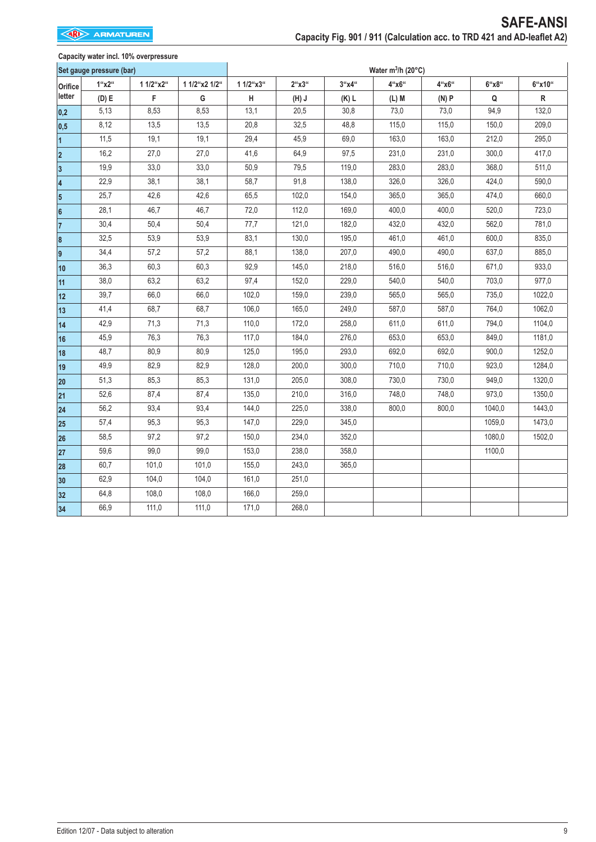### **Capacity water incl. 10% overpressure**

|                         | Set gauge pressure (bar) |           |               |           |                             |           | Water $m^3/h$ (20°C) |          |              |             |
|-------------------------|--------------------------|-----------|---------------|-----------|-----------------------------|-----------|----------------------|----------|--------------|-------------|
| Orifice                 | $1$ "x2"                 | 1 1/2"x2" | 1 1/2"x2 1/2" | 1 1/2"x3" | $2^{\omega}$ x $3^{\omega}$ | $3''$ x4" | 4"x6"                | $4$ "x6" | $6$ "x $8$ " | 6"x10"      |
| letter                  | (D) E                    | F         | G             | H         | (H) J                       | (K) L     | $(L)$ M              | (N)P     | Q            | $\mathsf R$ |
| 0,2                     | 5,13                     | 8,53      | 8,53          | 13,1      | 20,5                        | 30,8      | 73,0                 | 73,0     | 94,9         | 132,0       |
| 0,5                     | 8,12                     | 13,5      | 13,5          | 20,8      | 32,5                        | 48,8      | 115,0                | 115,0    | 150,0        | 209,0       |
| $\overline{1}$          | 11,5                     | 19,1      | 19,1          | 29,4      | 45,9                        | 69,0      | 163,0                | 163,0    | 212,0        | 295,0       |
| $\overline{\mathbf{2}}$ | 16,2                     | 27,0      | 27,0          | 41,6      | 64,9                        | 97,5      | 231,0                | 231,0    | 300,0        | 417,0       |
| 3                       | 19,9                     | 33,0      | 33,0          | 50,9      | 79,5                        | 119,0     | 283,0                | 283,0    | 368,0        | 511,0       |
| 4                       | 22,9                     | 38,1      | 38,1          | 58,7      | 91,8                        | 138,0     | 326,0                | 326,0    | 424,0        | 590,0       |
| 5                       | 25,7                     | 42,6      | 42,6          | 65,5      | 102,0                       | 154,0     | 365,0                | 365,0    | 474,0        | 660,0       |
| 6                       | 28,1                     | 46,7      | 46,7          | 72,0      | 112,0                       | 169,0     | 400,0                | 400,0    | 520,0        | 723,0       |
| $\overline{7}$          | 30,4                     | 50,4      | 50,4          | 77,7      | 121,0                       | 182,0     | 432,0                | 432,0    | 562,0        | 781,0       |
| 8                       | 32,5                     | 53,9      | 53,9          | 83,1      | 130,0                       | 195,0     | 461,0                | 461,0    | 600,0        | 835,0       |
| 9                       | 34,4                     | 57,2      | 57,2          | 88,1      | 138,0                       | 207,0     | 490,0                | 490,0    | 637,0        | 885,0       |
| 10                      | 36,3                     | 60,3      | 60,3          | 92,9      | 145,0                       | 218,0     | 516,0                | 516,0    | 671,0        | 933,0       |
| 11                      | 38,0                     | 63,2      | 63,2          | 97,4      | 152,0                       | 229,0     | 540,0                | 540,0    | 703,0        | 977,0       |
| 12                      | 39,7                     | 66,0      | 66,0          | 102,0     | 159,0                       | 239,0     | 565,0                | 565,0    | 735,0        | 1022,0      |
| 13                      | 41,4                     | 68,7      | 68,7          | 106,0     | 165,0                       | 249,0     | 587,0                | 587,0    | 764,0        | 1062,0      |
| 14                      | 42,9                     | 71,3      | 71,3          | 110,0     | 172,0                       | 258,0     | 611,0                | 611,0    | 794,0        | 1104,0      |
| 16                      | 45,9                     | 76,3      | 76,3          | 117,0     | 184,0                       | 276,0     | 653,0                | 653,0    | 849,0        | 1181,0      |
| 18                      | 48,7                     | 80,9      | 80,9          | 125,0     | 195,0                       | 293,0     | 692,0                | 692,0    | 900,0        | 1252,0      |
| 19                      | 49,9                     | 82,9      | 82,9          | 128,0     | 200,0                       | 300,0     | 710,0                | 710,0    | 923,0        | 1284,0      |
| 20                      | 51,3                     | 85,3      | 85,3          | 131,0     | 205,0                       | 308,0     | 730,0                | 730,0    | 949,0        | 1320,0      |
| 21                      | 52,6                     | 87,4      | 87,4          | 135,0     | 210,0                       | 316,0     | 748,0                | 748,0    | 973,0        | 1350,0      |
| 24                      | 56,2                     | 93,4      | 93,4          | 144,0     | 225,0                       | 338,0     | 800,0                | 800,0    | 1040,0       | 1443,0      |
| 25                      | 57,4                     | 95,3      | 95,3          | 147,0     | 229,0                       | 345,0     |                      |          | 1059,0       | 1473,0      |
| 26                      | 58,5                     | 97,2      | 97,2          | 150,0     | 234,0                       | 352,0     |                      |          | 1080,0       | 1502,0      |
| 27                      | 59,6                     | 99,0      | 99,0          | 153,0     | 238,0                       | 358,0     |                      |          | 1100,0       |             |
| 28                      | 60,7                     | 101,0     | 101,0         | 155,0     | 243,0                       | 365,0     |                      |          |              |             |
| 30                      | 62,9                     | 104,0     | 104,0         | 161,0     | 251,0                       |           |                      |          |              |             |
| 32                      | 64,8                     | 108,0     | 108,0         | 166,0     | 259,0                       |           |                      |          |              |             |
| 34                      | 66,9                     | 111,0     | 111,0         | 171,0     | 268,0                       |           |                      |          |              |             |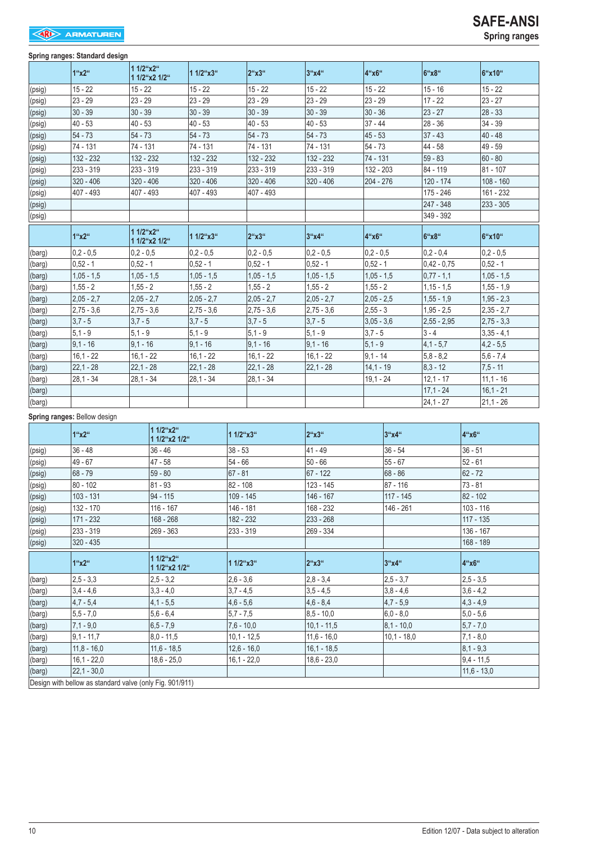#### **Spring ranges: Standard design**

|                | opmig rangoor otamaara aoorgii |              |                            |              |                 |                       |               |              |               |                |             |              |
|----------------|--------------------------------|--------------|----------------------------|--------------|-----------------|-----------------------|---------------|--------------|---------------|----------------|-------------|--------------|
|                | 1"x2"                          | 1 1/2"x2"    | 1 1/2"x2 1/2"              | 1 1/2"x3"    |                 | $2^{\mu}$ x $3^{\mu}$ | 3''x4''       | 4"x6"        |               | 6"x8"          |             | 6"x10"       |
| (psig)         | $15 - 22$                      | $15 - 22$    |                            | $15 - 22$    |                 | $15 - 22$             | $15 - 22$     | $15 - 22$    |               | $15 - 16$      |             | $15 - 22$    |
| (psig)         | $23 - 29$                      | $23 - 29$    |                            | $23 - 29$    |                 | $23 - 29$             | $23 - 29$     | $23 - 29$    |               | $17 - 22$      |             | $23 - 27$    |
| (psig)         | $30 - 39$                      | $30 - 39$    |                            | $30 - 39$    |                 | $30 - 39$             | $30 - 39$     | $30 - 36$    |               | $23 - 27$      |             | $28 - 33$    |
| (psig)         | $40 - 53$                      | $40 - 53$    |                            | $40 - 53$    |                 | $40 - 53$             | $40 - 53$     | $37 - 44$    |               | $28 - 36$      |             | $34 - 39$    |
| (psig)         | $54 - 73$                      | $54 - 73$    |                            | $54 - 73$    |                 | $54 - 73$             | $54 - 73$     | $45 - 53$    |               | $37 - 43$      |             | $40 - 48$    |
| (psig)         | 74 - 131                       | 74 - 131     |                            | 74 - 131     |                 | 74 - 131              | 74 - 131      | $54 - 73$    |               | 44 - 58        |             | 49 - 59      |
| (psig)         | 132 - 232                      | 132 - 232    |                            | 132 - 232    |                 | 132 - 232             | 132 - 232     | 74 - 131     |               | $59 - 83$      |             | 60 - 80      |
| (psig)         | 233 - 319                      | 233 - 319    |                            | 233 - 319    |                 | 233 - 319             | 233 - 319     | 132 - 203    |               | 84 - 119       |             | $81 - 107$   |
| (psig)         | $320 - 406$                    | $320 - 406$  |                            | 320 - 406    |                 | $320 - 406$           | 320 - 406     | 204 - 276    |               | 120 - 174      |             | $108 - 160$  |
| (psig)         | 407 - 493                      | 407 - 493    |                            | 407 - 493    |                 | 407 - 493             |               |              |               | 175 - 246      |             | 161 - 232    |
| (psig)         |                                |              |                            |              |                 |                       |               |              |               | 247 - 348      |             | 233 - 305    |
| (psig)         |                                |              |                            |              |                 |                       |               |              |               | 349 - 392      |             |              |
|                | 1"x2"                          | 1 1/2"x2"    | 1 1/2"x2 1/2"              | 1 1/2"x3"    |                 | $2^{4}x3^{4}$         | 3"x4"         | 4"x6"        |               | 6"x8"          |             | 6"x10"       |
| (barg)         | $ 0,2 - 0,5$                   | $0.2 - 0.5$  |                            | $0,2 - 0,5$  |                 | $0,2 - 0,5$           | $0.2 - 0.5$   | $ 0,2 - 0,5$ |               | $ 0,2 - 0,4$   |             | $0.2 - 0.5$  |
| (barg)         | $0,52 - 1$                     | $0.52 - 1$   |                            | $0.52 - 1$   |                 | $0,52 - 1$            | $0,52 - 1$    | $0.52 - 1$   |               | $ 0,42 - 0,75$ |             | $ 0,52 - 1 $ |
| (barg)         | $1,05 - 1,5$                   | $1,05 - 1,5$ |                            | $1,05 - 1,5$ |                 | $1,05 - 1,5$          | $1,05 - 1,5$  | $1,05 - 1,5$ |               | $ 0,77 - 1,1$  |             | $1,05 - 1,5$ |
| (barg)         | $1,55 - 2$                     | $1,55 - 2$   |                            | $1,55 - 2$   |                 | $1,55 - 2$            | $1,55 - 2$    | $1,55 - 2$   |               | $1,15 - 1,5$   |             | $1,55 - 1,9$ |
| (barg)         | $2,05 - 2,7$                   | $2,05 - 2,7$ |                            | $2,05 - 2,7$ |                 | $2,05 - 2,7$          | $2,05 - 2,7$  | $2,05 - 2,5$ |               | $1,55 - 1,9$   |             | $1,95 - 2,3$ |
| (barg)         | $2,75 - 3,6$                   | $2,75 - 3,6$ |                            | $2,75 - 3,6$ |                 | $2,75 - 3,6$          | $2,75 - 3,6$  | $2,55 - 3$   |               | $1,95 - 2,5$   |             | $2,35 - 2,7$ |
| (barg)         | $3,7 - 5$                      | $3,7 - 5$    |                            | $3.7 - 5$    |                 | $3,7 - 5$             | $3,7 - 5$     | $3,05 - 3,6$ |               | $2,55 - 2,95$  |             | $2,75 - 3,3$ |
| (barg)         | $5,1 - 9$                      | $5,1 - 9$    |                            | $5,1 - 9$    |                 | $5,1 - 9$             | $5,1 - 9$     | $3,7 - 5$    |               | $3 - 4$        |             | $3,35 - 4,1$ |
| (barg)         | $9,1 - 16$                     | $9,1 - 16$   |                            | $9,1 - 16$   |                 | $9,1 - 16$            | $9,1 - 16$    | $ 5, 1 - 9 $ |               | $ 4,1 - 5,7$   |             | $4.2 - 5.5$  |
| (barg)         | $16,1 - 22$                    | $16,1 - 22$  |                            | $16,1 - 22$  |                 | $16,1 - 22$           | $16,1 - 22$   | $9,1 - 14$   |               | $5,8 - 8,2$    |             | $5,6 - 7,4$  |
| (barg)         | $22,1 - 28$                    | $22,1 - 28$  |                            | $22,1 - 28$  |                 | 22,1 - 28             | $22,1 - 28$   | $14,1 - 19$  |               | $ 8,3 - 12 $   |             | $7,5 - 11$   |
| (barg)         | $28,1 - 34$                    | $28,1 - 34$  |                            | $28,1 - 34$  |                 | $28,1 - 34$           |               | $19,1 - 24$  |               | $12.1 - 17$    |             | $11,1 - 16$  |
| (barg)         |                                |              |                            |              |                 |                       |               |              |               | $17,1 - 24$    |             | $16,1 - 21$  |
| (barg)         |                                |              |                            |              |                 |                       |               |              |               | $24,1 - 27$    |             | $21,1 - 26$  |
|                | Spring ranges: Bellow design   |              |                            |              |                 |                       |               |              |               |                |             |              |
|                | 1"x2"                          |              | 1 1/2"x2"<br>1 1/2"x2 1/2" |              | $11/2$ "x $3$ " |                       | 2"x3"         |              | 3''x4''       |                | 4"x6"       |              |
| (psig)         | $36 - 48$                      |              | $36 - 46$                  |              | $38 - 53$       |                       | 41 - 49       |              | $36 - 54$     |                | $36 - 51$   |              |
| (psig)         | 49 - 67                        |              | 47 - 58                    |              | $54 - 66$       |                       | $50 - 66$     |              | $55 - 67$     |                | $52 - 61$   |              |
| (psig)         | 68 - 79                        |              | 59 - 80                    |              | $67 - 81$       |                       | $67 - 122$    |              | $68 - 86$     |                | $62 - 72$   |              |
| (psig)         | $80 - 102$                     |              | $81 - 93$                  |              | $82 - 108$      |                       | 123 - 145     |              | 87 - 116      |                | $73 - 81$   |              |
| (psig)         | $103 - 131$                    |              | $94 - 115$                 |              | 109 - 145       |                       | 146 - 167     |              | $117 - 145$   |                | $82 - 102$  |              |
| $\vert$ (psig) | $132 - 170$                    |              | 116 - 167                  |              | 146 - 181       |                       | $168 - 232$   |              | $146 - 261$   |                | $103 - 116$ |              |
| $ $ (psig)     | 171 - 232                      |              | $168 - 268$                |              | 182 - 232       |                       | 233 - 268     |              |               |                | 117 - 135   |              |
| $\vert$ (psig) | 233 - 319                      |              | 269 - 363                  |              | 233 - 319       |                       | 269 - 334     |              |               |                | 136 - 167   |              |
| $\vert$ (psig) | 320 - 435                      |              |                            |              |                 |                       |               |              |               |                | 168 - 189   |              |
|                | 1"x2"                          |              | 1 1/2"x2"<br>1 1/2"x2 1/2" |              | 1 1/2"x3"       |                       | 2"x3"         |              | 3"x4"         |                | 4"x6"       |              |
| (barg)         | $ 2,5 - 3,3$                   |              | $2.5 - 3.2$                |              | $2,6 - 3,6$     |                       | $2.8 - 3.4$   |              | $2.5 - 3.7$   |                | $2,5 - 3,5$ |              |
| (barg)         | $3,4 - 4,6$                    |              | $3,3 - 4,0$                |              | $3.7 - 4.5$     |                       | $3,5 - 4,5$   |              | $3,8 - 4,6$   |                | $3,6 - 4,2$ |              |
| (barg)         | $ 4,7 - 5,4$                   |              | $4,1 - 5,5$                |              | $ 4,6 - 5,6$    |                       | $4,6 - 8,4$   |              | $4,7 - 5,9$   |                | $4,3 - 4,9$ |              |
| (barg)         | $5,5 - 7,0$                    |              | $5,6 - 6,4$                |              | $5,7 - 7,5$     |                       | $8,5 - 10,0$  |              | $6,0 - 8,0$   |                | $5,0 - 5,6$ |              |
| $($ barg $)$   | $7,1 - 9,0$                    |              | $6, 5 - 7, 9$              |              | $7,6 - 10,0$    |                       | $10,1 - 11,5$ |              | $8,1 - 10,0$  |                | $5,7 - 7,0$ |              |
| $ $ (barg)     | $9,1 - 11,7$                   |              | $ 8,0 - 11,5$              |              | $10,1 - 12,5$   |                       | $11,6 - 16,0$ |              | $10,1 - 18,0$ |                | $7,1 - 8,0$ |              |

(barg) |11,8 - 16,0 |11,6 - 18,5 |12,6 - 16,0 |16,1 - 18,5 |8,1 - 9,3 (barg) |16,1 - 22,0 18,6 - 25,0 |16,1 - 22,0 |18,6 - 23,0 |9,4 - 11,5 (barg) 22,1 - 30,0 11,6 - 13,0

Design with bellow as standard valve (only Fig. 901/911)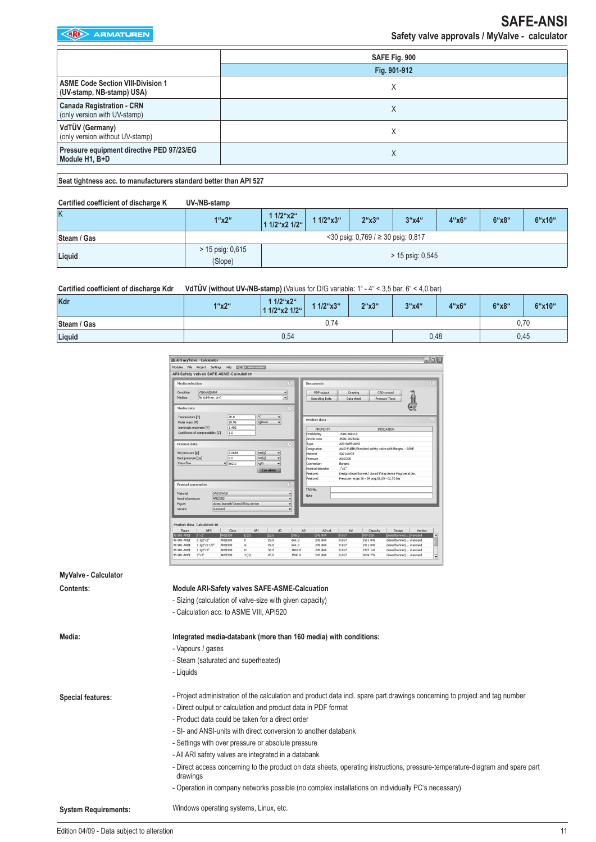|                                                                       | SAFE Fig. 900 |
|-----------------------------------------------------------------------|---------------|
|                                                                       | Fig. 901-912  |
| <b>ASME Code Section VIII-Division 1</b><br>(UV-stamp, NB-stamp) USA) |               |
| <b>Canada Registration - CRN</b><br>(only version with UV-stamp)      | ⋏             |
| VdTÜV (Germany)<br>(only version without UV-stamp)                    | х             |
| Pressure equipment directive PED 97/23/EG<br>Module H1, B+D           | Χ             |
|                                                                       |               |

**Seat tightness acc. to manufacturers standard better than API 527**

| Certified coefficient of discharge K | UV-/NB-stamp                  |                               |           |                                            |                    |       |       |        |
|--------------------------------------|-------------------------------|-------------------------------|-----------|--------------------------------------------|--------------------|-------|-------|--------|
| K                                    | 1"x2"                         | 1 $1/2$ "x2"<br>1 1/2"x2 1/2" | 1 1/2"x3" | $2^{\circ}x3^{\circ}$                      | 3''x4''            | 4"x6" | 6"x8" | 6"x10" |
| Steam / Gas                          |                               |                               |           | $<$ 30 psig: 0,769 / $\geq$ 30 psig: 0,817 |                    |       |       |        |
| Liquid                               | $> 15$ psig: 0,615<br>(Slope) |                               |           |                                            | $> 15$ psig: 0,545 |       |       |        |

**Certified coefficient of discharge Kdr VdTÜV (without UV-/NB-stamp)** (Values for D/G variable: 1" - 4" < 3,5 bar, 6" < 4,0 bar)

| Kdr         | 1"x2" | 1 1/2"x2"<br>1 1/2"x2 1/2" | $1/2$ "x3" | 2"x3" | 3''x4'' | 4"x6" | 6"x8" | 6"x10" |
|-------------|-------|----------------------------|------------|-------|---------|-------|-------|--------|
| Steam / Gas |       |                            | 0,74       |       |         |       |       | 0,70   |
| Liquid      |       | 0,54                       |            |       |         | 0,48  |       | 0,45   |

| Modules<br>File                   | Project Settings Help<br>ARI-Safety valves SAFE-ASME-Calculation |                                      | <b>CO ARMATUREN</b> |                  |        |                                |                                         |                                                 |                                                             |         |
|-----------------------------------|------------------------------------------------------------------|--------------------------------------|---------------------|------------------|--------|--------------------------------|-----------------------------------------|-------------------------------------------------|-------------------------------------------------------------|---------|
| Media selection                   |                                                                  |                                      |                     |                  | 凤      | Documents                      |                                         |                                                 |                                                             | (x)     |
| Condition                         | Vapour/gases                                                     |                                      |                     |                  | ۰      | PDF-output                     | <b>Drawing</b>                          |                                                 | CAD-symbol                                                  |         |
| Medium                            | Air (oil-free, drv)                                              |                                      |                     |                  | ٠      | Operating Instr.               | Data sheet                              |                                                 | Pressure-Temp                                               |         |
| Media data                        |                                                                  |                                      |                     |                  | 医      |                                |                                         |                                                 |                                                             |         |
| Temperature [T]<br>Molar mass [M] |                                                                  | 20.0<br>28.96                        | °C                  | kajkmol<br>٠     |        | Product data                   |                                         |                                                 |                                                             | 交       |
|                                   | Isentropic exponent [k]                                          | 1.402                                |                     |                  |        | <b>PROPERTY</b>                |                                         |                                                 | <b>INDICATION</b>                                           |         |
|                                   | Coefficient of compressibility [2]                               | 1.0                                  |                     |                  |        | Produktkey                     | 15101600110                             |                                                 |                                                             |         |
|                                   |                                                                  |                                      |                     |                  |        | Article code                   | 359010025AG1                            |                                                 |                                                             |         |
| Process data                      |                                                                  |                                      |                     |                  | (余)    | Type                           | ARI-SAFE-ANSI                           |                                                 |                                                             |         |
|                                   |                                                                  |                                      |                     |                  |        | Designation                    |                                         |                                                 | ANSI-Full lift/Standard safety valve with flanges - ASME    |         |
| Set pressure [p]                  |                                                                  | 2.0684<br>0.0                        |                     | bar(g)<br>٠      |        | Material                       | SA216WCB                                |                                                 |                                                             |         |
| Back pressure [pa]<br>Mass flow   |                                                                  |                                      |                     | bar(g)           |        | Pressure                       | ANST300                                 |                                                 |                                                             |         |
|                                   |                                                                  | $- 562.0$                            | kajh                |                  |        | Connection<br>Nominal diameter | flanged<br>$1^{\circ} \times 2^{\circ}$ |                                                 |                                                             |         |
|                                   |                                                                  |                                      |                     | <b>Calculate</b> |        | Feature1                       |                                         |                                                 | Design:closed bonnet/ closed lifting device Plug:metal disc |         |
|                                   |                                                                  |                                      |                     |                  |        | Feature2                       |                                         | Pressure range: 30 - 39 psig: 02,05 - 02,70 bar |                                                             |         |
| Product parameter                 |                                                                  |                                      |                     |                  | 闵      |                                |                                         |                                                 |                                                             |         |
| Material                          |                                                                  | SA216WCB                             |                     |                  | ٠      | TAG-No.                        |                                         |                                                 |                                                             |         |
| Nominal pressure                  |                                                                  | <b>ANSI300</b>                       |                     |                  | ٠      | Note                           |                                         |                                                 |                                                             |         |
| Figure                            |                                                                  | closed bonnet/ closed lifting device |                     |                  | ٠      |                                |                                         |                                                 |                                                             |         |
| Version                           |                                                                  | standard                             |                     |                  | ٠      |                                |                                         |                                                 |                                                             |         |
|                                   |                                                                  |                                      |                     |                  |        |                                |                                         |                                                 |                                                             |         |
|                                   |                                                                  |                                      |                     |                  |        |                                |                                         |                                                 |                                                             |         |
|                                   | Product data Calculated: 10                                      |                                      |                     |                  |        |                                |                                         |                                                 |                                                             |         |
| Figure                            | <b>NPS</b>                                                       | Class                                | API                 | d <sub>0</sub>   | A0     | AO-cal.                        | Kd                                      | Capacity                                        | Design                                                      | Version |
| 35.901-ANSI                       | $15x^2$                                                          | <b>ANSI300</b>                       | E(D)                | 22.5             | 398.0  | 245.844                        | 0.817                                   | 909.828                                         | closed bonnet/ standard                                     |         |
| 35.901-ANSI                       | $11/2' \times 2''$                                               | ANS1300                              | F                   | 29.0             | 661.0  | 245.844                        | 0.817                                   | 1511.045                                        | closed bonnet/ standard                                     |         |
| 35.901-ANSI                       | 1 1/2"×2 1/2"                                                    | ANS1300                              | G                   | 29.0             | 661.0  | 245.844                        | 0.817                                   | 1511.045                                        | closed bonnet/ standard                                     |         |
| 35.901-ANSI                       | $11/2^{\circ} \times 3^{\circ}$                                  | <b>ANSI300</b>                       | н                   | 36.0             | 1018.0 | 245.844                        | 0.817                                   | 2327.147                                        | closed bonnet/ standard                                     |         |
| 35.901-ANSI                       | $2^{n} \times 3^{n}$                                             | ANS1300                              | J(H)                | 45.0             | 1590.0 | 245.844                        | 0.817                                   | 3634.739                                        | closed bonnet/ standard                                     |         |

| MyValve - Calculator        |                                                                                                                                           |
|-----------------------------|-------------------------------------------------------------------------------------------------------------------------------------------|
| Contents:                   | Module ARI-Safety valves SAFE-ASME-Calcuation                                                                                             |
|                             | - Sizing (calculation of valve-size with given capacity)                                                                                  |
|                             | - Calculation acc. to ASME VIII, API520                                                                                                   |
| Media:                      | Integrated media-databank (more than 160 media) with conditions:                                                                          |
|                             | - Vapours / gases                                                                                                                         |
|                             | - Steam (saturated and superheated)                                                                                                       |
|                             | - Liquids                                                                                                                                 |
| <b>Special features:</b>    | - Project administration of the calculation and product data incl. spare part drawings concerning to project and tag number               |
|                             | - Direct output or calculation and product data in PDF format                                                                             |
|                             | - Product data could be taken for a direct order                                                                                          |
|                             | - SI- and ANSI-units with direct conversion to another databank                                                                           |
|                             | - Settings with over pressure or absolute pressure                                                                                        |
|                             | - All ARI safety valves are integrated in a databank                                                                                      |
|                             | - Direct access concerning to the product on data sheets, operating instructions, pressure-temperature-diagram and spare part<br>drawings |
|                             | - Operation in company networks possible (no complex installations on individually PC's necessary)                                        |
| <b>System Requirements:</b> | Windows operating systems, Linux, etc.                                                                                                    |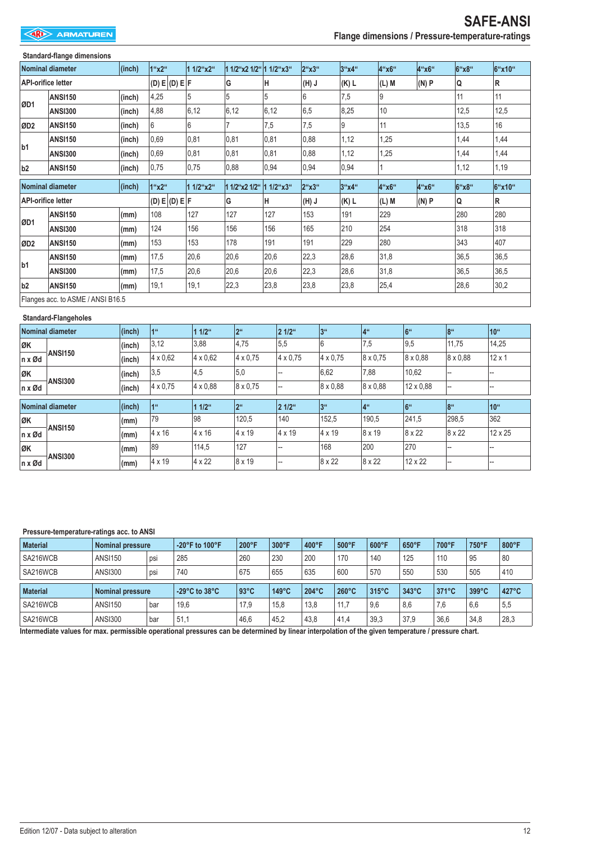### **Standard-flange dimensions Nominal diameter (inch) 1"x2" 1 1/2"x2" 1 1/2"x2 1/2" 1 1/2"x3" 2"x3" 3"x4" 4"x6" 4"x6" 6"x8" 6"x10" API-orifice letter (D) E (D) E F G H (H) J (K) L (L) M (N) P Q R ØD1 ANSI150** |(inch) |4,25 |5 |5 |5 |6 |7,5 |9 |11 |11 **ANSI300 (inch)** 4,88 6,12 6,12 6,12 6,5 8,25 10 12,5 12,5 **ØD2 ANSI150 (inch)** 6 6 7 7,5 7,5 9 11 13,5 16 **b1 ANSI150 (inch)** 0,69 0,81 0,81 0,81 0,88 1,12 1,25 1,44 1,44 **ANSI300 (inch)** 0,69 0,81 0,81 0,81 0,88 1,12 1,25 1,44 1,44 **b2 ANSI150 (inch)** 0,75 0,75 0,88 0,94 0,94 0,94 1 1,12 1,19 **Nominal diameter (inch) 1"x2" 1 1/2"x2" 1 1/2"x2 1/2" 1 1/2"x3" 2"x3" 3"x4" 4"x6" 4"x6" 6"x8" 6"x10" API-orifice letter (D) E (D) E F G H (H) J (K) L (L) M (N) P Q R ØD1 ANSI150 (mm)** 108 127 127 127 153 191 229 280 280 **ANSI300 (mm)** 124 156 156 156 165 210 254 318 318 **ØD2 ANSI150 (mm)** 153 153 178 191 191 229 280 343 407 **b1 ANSI150 |(mm)** |17,5 |20,6 |20,6 |20,6 |22,3 |28,6 |31,8 |36,5 |36,5 **ANSI300 |(mm)** |17,5 |20,6 |20,6 |20,6 |22,3 |28,6 |31,8 |36,5 |36,5 **b2 ANSI150 (mm)** 19,1 19,1 22,3 23,8 23,8 23,8 25,4 28,6 30,2

Flanges acc. to ASME / ANSI B16.5

#### **Standard-Flangeholes**

|                        | Nominal diameter | (inch) | 1"              | $11/2$ <sup>"</sup> | 2 <sup>ii</sup> | 2 1/2"          | 3 <sup>ii</sup> | 4 <sup>ii</sup>    | 16"             | 8 <sup>ii</sup> | 10 <sup>th</sup> |
|------------------------|------------------|--------|-----------------|---------------------|-----------------|-----------------|-----------------|--------------------|-----------------|-----------------|------------------|
| <b>ØK</b>              |                  | (inch) | 3,12            | 3,88                | 4,75            | 5,5             | 6               | 7,5                | 9,5             | 11,75           | 14,25            |
| $n \times \emptyset d$ | <b>ANSI150</b>   | (inch) | 4 x 0.62        | $4 \times 0.62$     | $4 \times 0.75$ | $4 \times 0.75$ | $4 \times 0.75$ | $ 8 \times 0.75$   | $8 \times 0.88$ | $8 \times 0.88$ | $12 \times 1$    |
| <b>ØK</b>              |                  | (inch) | 3,5             | 4,5                 | 5,0             |                 | 6,62            | 7,88               | 10,62           |                 |                  |
| $n \times \emptyset d$ | <b>ANSI300</b>   | (inch) | 4 x 0.75        | 4 x 0.88            | $8 \times 0.75$ | --              | 8 x 0.88        | $8 \times 0.88$    | 12 x 0.88       | --              |                  |
|                        |                  |        |                 |                     |                 |                 |                 |                    |                 |                 |                  |
|                        | Nominal diameter | (inch) | 1 <sup>ii</sup> | $11/2$ <sup>"</sup> | 2 <sup>ii</sup> | 2 1/2"          | 3 <sup>ii</sup> | $14$ <sup>ii</sup> | 6 <sup>ii</sup> | 8 <sup>ii</sup> | 10"              |
| <b>ØK</b>              |                  | (mm)   | 79              | 98                  | 120,5           | 140             | 152,5           | 190,5              | 241,5           | 298,5           | 362              |
| $\ln x$ Ød             | <b>ANSI150</b>   | (mm)   | $4 \times 16$   | $ 4 \times 16$      | 4 x 19          | 4 x 19          | $4 \times 19$   | 8 x 19             | 8 x 22          | 8 x 22          | 12 x 25          |
| <b>ØK</b>              | <b>ANSI300</b>   | (mm)   | 89              | 114,5               | 127             |                 | 168             | 200                | 270             |                 |                  |

#### **Pressure-temperature-ratings acc. to ANSI**

| <b>Material</b>             | Nominal pressure        |     | $-20^{\circ}$ F to 100°F           | 200°F          | $300^{\circ}$ F | $400^{\circ}$ F | $500^{\circ}$ F | $600^{\circ}$ F | $650^{\circ}$ F | 700°F           | 750°F           | 800°F |
|-----------------------------|-------------------------|-----|------------------------------------|----------------|-----------------|-----------------|-----------------|-----------------|-----------------|-----------------|-----------------|-------|
| SA216WCB                    | <b>ANSI150</b>          | psi | 285                                | 260            | 230             | 200             | 170             | 140             | 125             | 110             | 95              | 80    |
| SA216WCB                    | <b>ANSI300</b>          | psi | 740                                | 675            | 655             | 635             | 600             | 570             | 550             | 530             | 505             | 410   |
|                             |                         |     |                                    |                |                 |                 |                 |                 |                 |                 |                 |       |
|                             | <b>Nominal pressure</b> |     | $-29^{\circ}$ C to 38 $^{\circ}$ C | $93^{\circ}$ C | $149^{\circ}$ C | $204^{\circ}$ C | $260^{\circ}$ C | $315^{\circ}$ C | 343°C           | $371^{\circ}$ C | $399^{\circ}$ C | 427°C |
| <b>Material</b><br>SA216WCB | <b>ANSI150</b>          | bar | 19.6                               | 17.9           | 15.8            | 13,8            | 11.7            | 9.6             | 8,6             | 7.6             | 6,6             | 5,5   |

**Intermediate values for max. permissible operational pressures can be determined by linear interpolation of the given temperature / pressure chart.**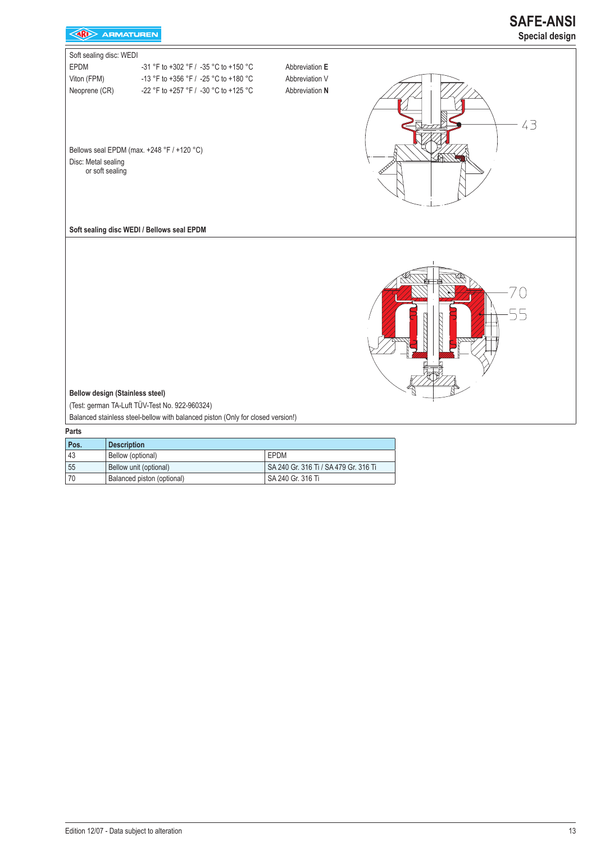

| Pos. | <b>Description</b>         |                                       |
|------|----------------------------|---------------------------------------|
| 43   | Bellow (optional)          | <b>FPDM</b>                           |
| 55   | Bellow unit (optional)     | SA 240 Gr. 316 Ti / SA 479 Gr. 316 Ti |
| 70   | Balanced piston (optional) | SA 240 Gr. 316 Ti                     |